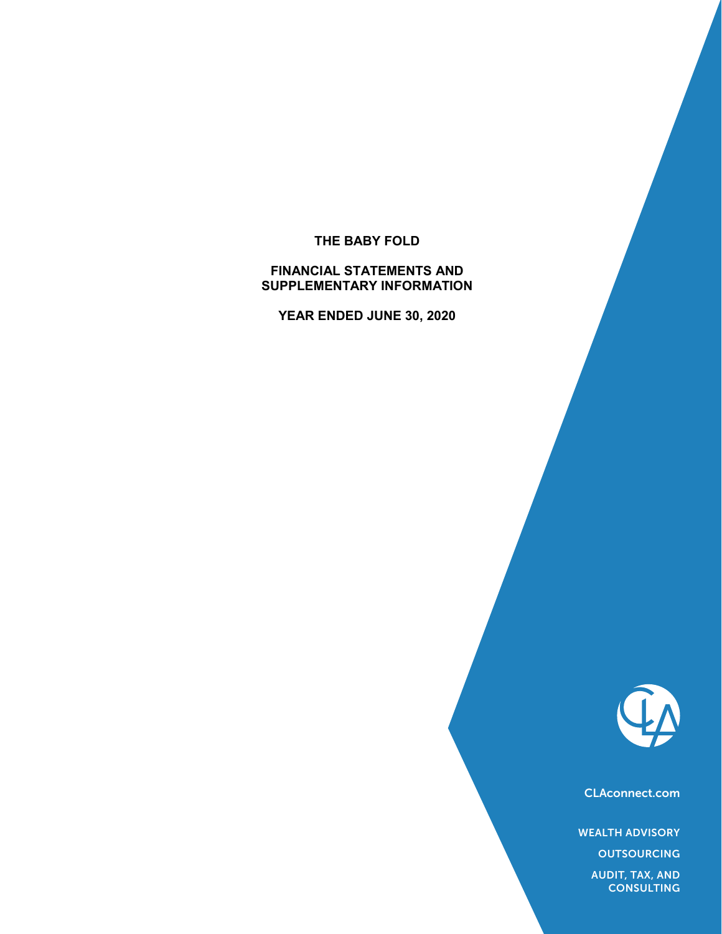# **THE BABY FOLD**

# **FINANCIAL STATEMENTS AND SUPPLEMENTARY INFORMATION**

**YEAR ENDED JUNE 30, 2020**



CLAconnect.com

WEALTH ADVISORY

**OUTSOURCING** 

AUDIT, TAX, AND **CONSULTING**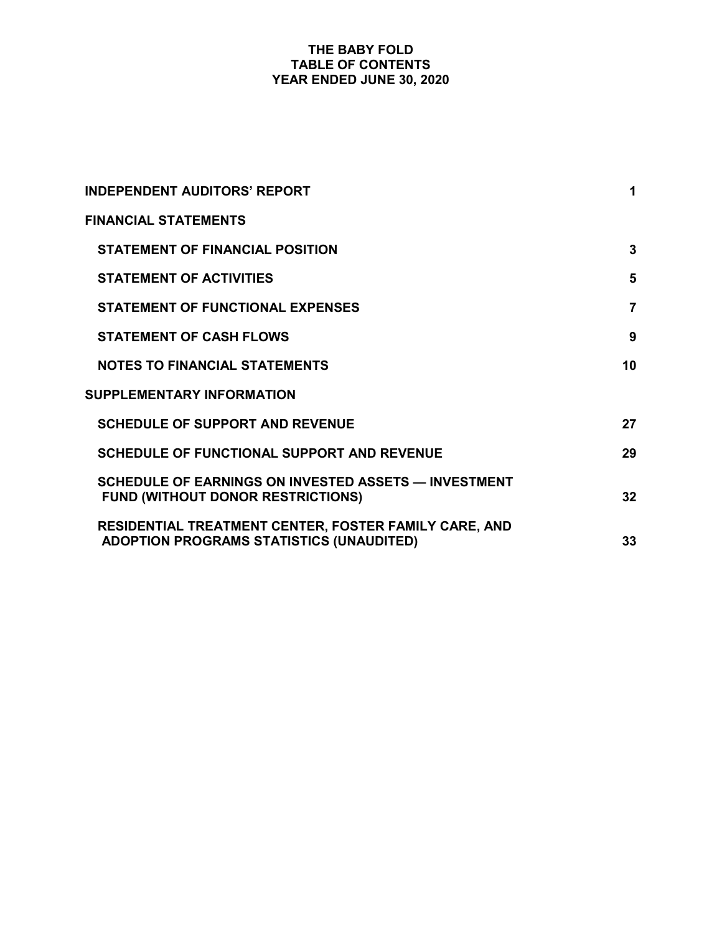# **THE BABY FOLD TABLE OF CONTENTS YEAR ENDED JUNE 30, 2020**

| <b>INDEPENDENT AUDITORS' REPORT</b>                                                                      | 1              |
|----------------------------------------------------------------------------------------------------------|----------------|
| <b>FINANCIAL STATEMENTS</b>                                                                              |                |
| <b>STATEMENT OF FINANCIAL POSITION</b>                                                                   | 3              |
| <b>STATEMENT OF ACTIVITIES</b>                                                                           | 5              |
| <b>STATEMENT OF FUNCTIONAL EXPENSES</b>                                                                  | $\overline{7}$ |
| <b>STATEMENT OF CASH FLOWS</b>                                                                           | 9              |
| <b>NOTES TO FINANCIAL STATEMENTS</b>                                                                     | 10             |
| <b>SUPPLEMENTARY INFORMATION</b>                                                                         |                |
| <b>SCHEDULE OF SUPPORT AND REVENUE</b>                                                                   | 27             |
| <b>SCHEDULE OF FUNCTIONAL SUPPORT AND REVENUE</b>                                                        | 29             |
| SCHEDULE OF EARNINGS ON INVESTED ASSETS - INVESTMENT<br><b>FUND (WITHOUT DONOR RESTRICTIONS)</b>         | 32             |
| RESIDENTIAL TREATMENT CENTER, FOSTER FAMILY CARE, AND<br><b>ADOPTION PROGRAMS STATISTICS (UNAUDITED)</b> | 33             |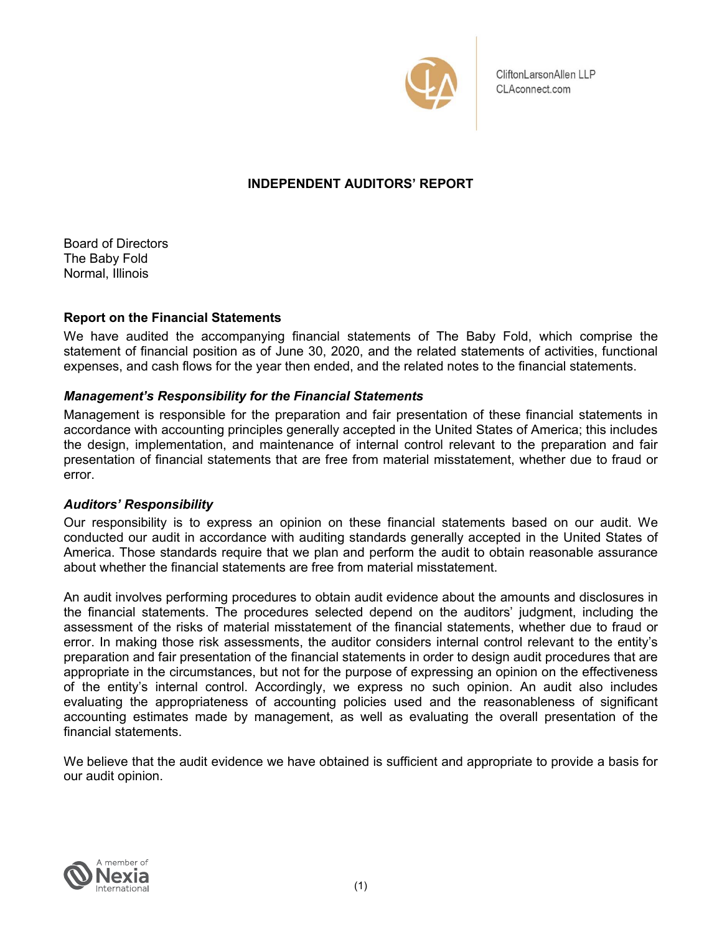

CliftonLarsonAllen LLP CLAconnect.com

# **INDEPENDENT AUDITORS' REPORT**

Board of Directors The Baby Fold Normal, Illinois

# **Report on the Financial Statements**

We have audited the accompanying financial statements of The Baby Fold, which comprise the statement of financial position as of June 30, 2020, and the related statements of activities, functional expenses, and cash flows for the year then ended, and the related notes to the financial statements.

# *Management's Responsibility for the Financial Statements*

Management is responsible for the preparation and fair presentation of these financial statements in accordance with accounting principles generally accepted in the United States of America; this includes the design, implementation, and maintenance of internal control relevant to the preparation and fair presentation of financial statements that are free from material misstatement, whether due to fraud or error.

# *Auditors' Responsibility*

Our responsibility is to express an opinion on these financial statements based on our audit. We conducted our audit in accordance with auditing standards generally accepted in the United States of America. Those standards require that we plan and perform the audit to obtain reasonable assurance about whether the financial statements are free from material misstatement.

An audit involves performing procedures to obtain audit evidence about the amounts and disclosures in the financial statements. The procedures selected depend on the auditors' judgment, including the assessment of the risks of material misstatement of the financial statements, whether due to fraud or error. In making those risk assessments, the auditor considers internal control relevant to the entity's preparation and fair presentation of the financial statements in order to design audit procedures that are appropriate in the circumstances, but not for the purpose of expressing an opinion on the effectiveness of the entity's internal control. Accordingly, we express no such opinion. An audit also includes evaluating the appropriateness of accounting policies used and the reasonableness of significant accounting estimates made by management, as well as evaluating the overall presentation of the financial statements.

We believe that the audit evidence we have obtained is sufficient and appropriate to provide a basis for our audit opinion.

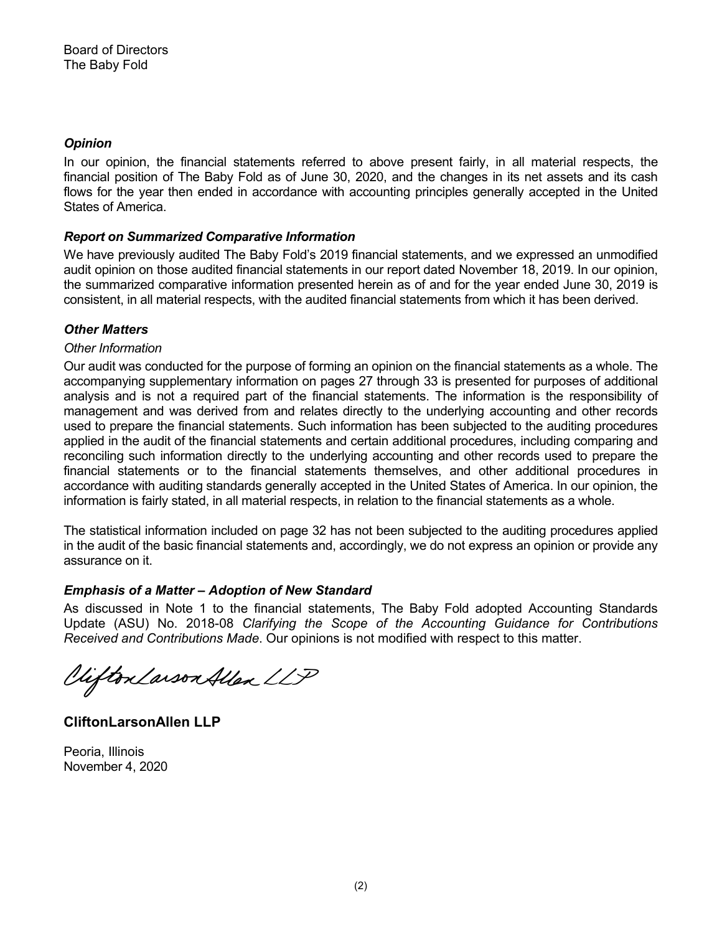# *Opinion*

In our opinion, the financial statements referred to above present fairly, in all material respects, the financial position of The Baby Fold as of June 30, 2020, and the changes in its net assets and its cash flows for the year then ended in accordance with accounting principles generally accepted in the United States of America.

# *Report on Summarized Comparative Information*

We have previously audited The Baby Fold's 2019 financial statements, and we expressed an unmodified audit opinion on those audited financial statements in our report dated November 18, 2019. In our opinion, the summarized comparative information presented herein as of and for the year ended June 30, 2019 is consistent, in all material respects, with the audited financial statements from which it has been derived.

# *Other Matters*

# *Other Information*

Our audit was conducted for the purpose of forming an opinion on the financial statements as a whole. The accompanying supplementary information on pages 27 through 33 is presented for purposes of additional analysis and is not a required part of the financial statements. The information is the responsibility of management and was derived from and relates directly to the underlying accounting and other records used to prepare the financial statements. Such information has been subjected to the auditing procedures applied in the audit of the financial statements and certain additional procedures, including comparing and reconciling such information directly to the underlying accounting and other records used to prepare the financial statements or to the financial statements themselves, and other additional procedures in accordance with auditing standards generally accepted in the United States of America. In our opinion, the information is fairly stated, in all material respects, in relation to the financial statements as a whole.

The statistical information included on page 32 has not been subjected to the auditing procedures applied in the audit of the basic financial statements and, accordingly, we do not express an opinion or provide any assurance on it.

# *Emphasis of a Matter – Adoption of New Standard*

As discussed in Note 1 to the financial statements, The Baby Fold adopted Accounting Standards Update (ASU) No. 2018-08 *Clarifying the Scope of the Accounting Guidance for Contributions*  Received and Contributions Made. Our opinions is not modified with respect to this matter.

Viifton Larson Allen LLP

**CliftonLarsonAllen LLP**

Peoria, Illinois November 4, 2020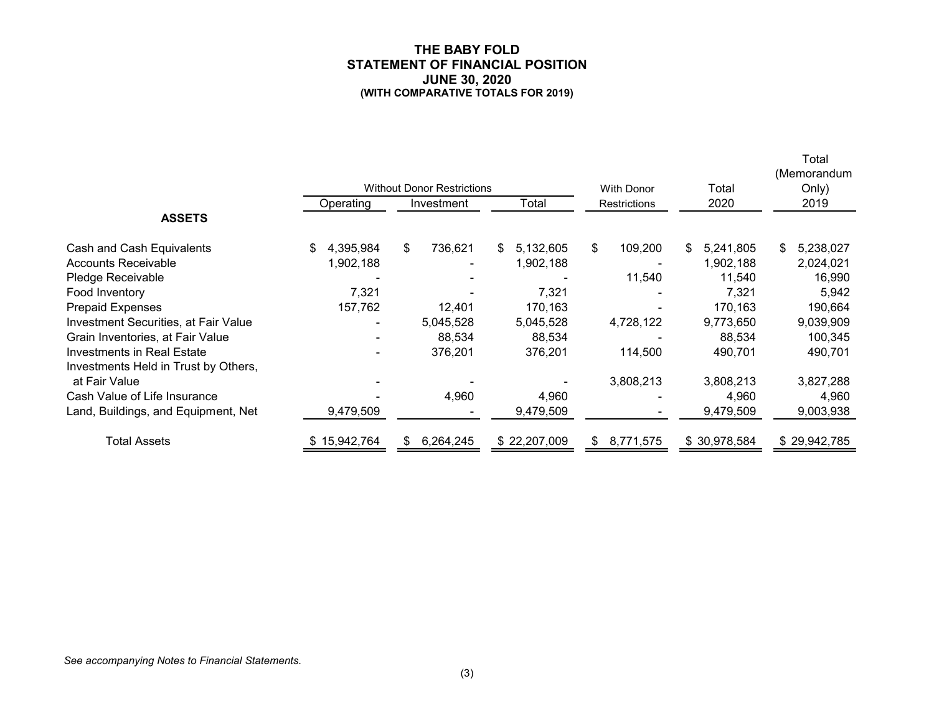#### **THE BABY FOLD STATEMENT OF FINANCIAL POSITION JUNE 30, 2020 (WITH COMPARATIVE TOTALS FOR 2019)**

Total

|                                             |                 | <b>Without Donor Restrictions</b> |                  | <b>With Donor</b>   | Total           | (Memorandum<br>Only) |
|---------------------------------------------|-----------------|-----------------------------------|------------------|---------------------|-----------------|----------------------|
| <b>ASSETS</b>                               | Operating       | Investment                        | Total            | <b>Restrictions</b> | 2020            | 2019                 |
|                                             |                 |                                   |                  |                     |                 |                      |
| Cash and Cash Equivalents                   | 4,395,984<br>\$ | \$<br>736,621                     | 5,132,605<br>\$. | \$<br>109,200       | 5,241,805<br>S. | 5,238,027<br>S.      |
| <b>Accounts Receivable</b>                  | 1,902,188       |                                   | 1,902,188        |                     | 1,902,188       | 2,024,021            |
| Pledge Receivable                           |                 |                                   |                  | 11,540              | 11,540          | 16,990               |
| Food Inventory                              | 7,321           |                                   | 7,321            |                     | 7,321           | 5,942                |
| Prepaid Expenses                            | 157,762         | 12,401                            | 170,163          |                     | 170,163         | 190,664              |
| <b>Investment Securities, at Fair Value</b> |                 | 5,045,528                         | 5,045,528        | 4,728,122           | 9,773,650       | 9,039,909            |
| Grain Inventories, at Fair Value            |                 | 88,534                            | 88,534           |                     | 88,534          | 100,345              |
| <b>Investments in Real Estate</b>           |                 | 376,201                           | 376,201          | 114,500             | 490,701         | 490,701              |
| Investments Held in Trust by Others,        |                 |                                   |                  |                     |                 |                      |
| at Fair Value                               |                 |                                   |                  | 3,808,213           | 3,808,213       | 3,827,288            |
| Cash Value of Life Insurance                |                 | 4,960                             | 4,960            |                     | 4,960           | 4,960                |
| Land, Buildings, and Equipment, Net         | 9,479,509       |                                   | 9,479,509        |                     | 9,479,509       | 9,003,938            |
| <b>Total Assets</b>                         | \$15,942,764    | 6,264,245<br>\$.                  | \$22,207,009     | 8,771,575<br>S.     | \$30,978,584    | \$29,942,785         |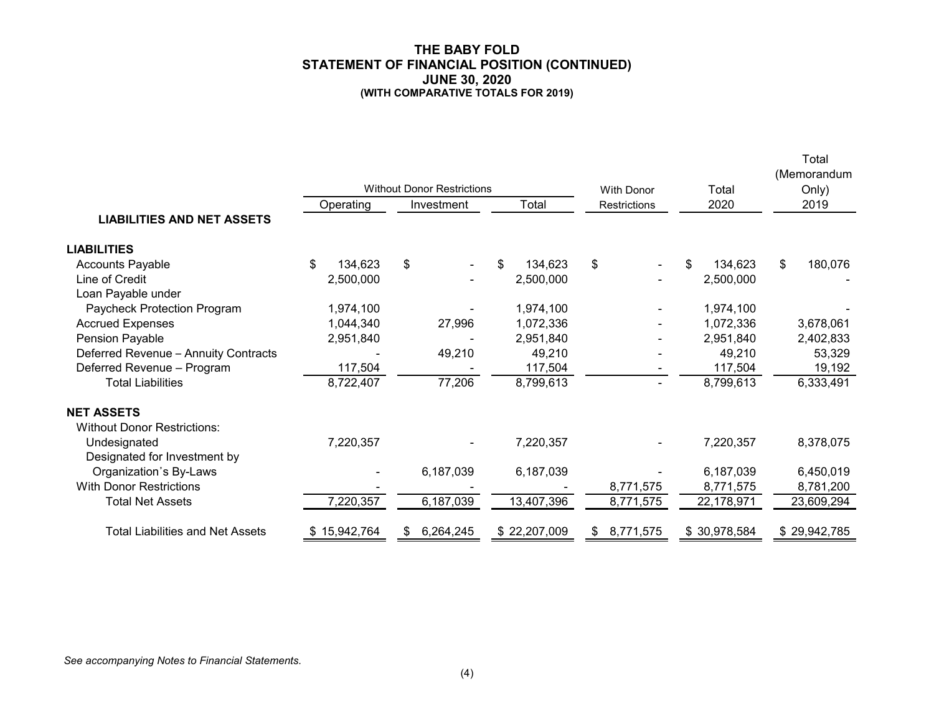#### **THE BABY FOLD STATEMENT OF FINANCIAL POSITION (CONTINUED) JUNE 30, 2020 (WITH COMPARATIVE TOTALS FOR 2019)**

Total

|                                         |               | <b>Without Donor Restrictions</b> |               | <b>With Donor</b> | Total          | (Memorandum<br>Only) |
|-----------------------------------------|---------------|-----------------------------------|---------------|-------------------|----------------|----------------------|
|                                         | Operating     | Investment                        | Total         | Restrictions      | 2020           | 2019                 |
| <b>LIABILITIES AND NET ASSETS</b>       |               |                                   |               |                   |                |                      |
| <b>LIABILITIES</b>                      |               |                                   |               |                   |                |                      |
| <b>Accounts Payable</b>                 | \$<br>134,623 | \$                                | 134,623<br>\$ | \$                | 134,623<br>\$. | \$<br>180,076        |
| Line of Credit                          | 2,500,000     |                                   | 2,500,000     |                   | 2,500,000      |                      |
| Loan Payable under                      |               |                                   |               |                   |                |                      |
| Paycheck Protection Program             | 1,974,100     |                                   | 1,974,100     |                   | 1,974,100      |                      |
| <b>Accrued Expenses</b>                 | 1,044,340     | 27,996                            | 1,072,336     |                   | 1,072,336      | 3,678,061            |
| Pension Payable                         | 2,951,840     |                                   | 2,951,840     |                   | 2,951,840      | 2,402,833            |
| Deferred Revenue - Annuity Contracts    |               | 49,210                            | 49,210        |                   | 49,210         | 53,329               |
| Deferred Revenue - Program              | 117,504       |                                   | 117,504       | ٠                 | 117,504        | 19,192               |
| <b>Total Liabilities</b>                | 8,722,407     | 77,206                            | 8,799,613     | $\blacksquare$    | 8,799,613      | 6,333,491            |
| <b>NET ASSETS</b>                       |               |                                   |               |                   |                |                      |
| <b>Without Donor Restrictions:</b>      |               |                                   |               |                   |                |                      |
| Undesignated                            | 7,220,357     |                                   | 7,220,357     |                   | 7,220,357      | 8,378,075            |
| Designated for Investment by            |               |                                   |               |                   |                |                      |
| Organization's By-Laws                  |               | 6,187,039                         | 6,187,039     |                   | 6,187,039      | 6,450,019            |
| <b>With Donor Restrictions</b>          |               |                                   |               | 8,771,575         | 8,771,575      | 8,781,200            |
| <b>Total Net Assets</b>                 | 7,220,357     | 6,187,039                         | 13,407,396    | 8,771,575         | 22,178,971     | 23,609,294           |
| <b>Total Liabilities and Net Assets</b> | \$15,942,764  | 6,264,245<br>\$                   | \$22,207,009  | 8,771,575<br>\$   | \$30,978,584   | \$29,942,785         |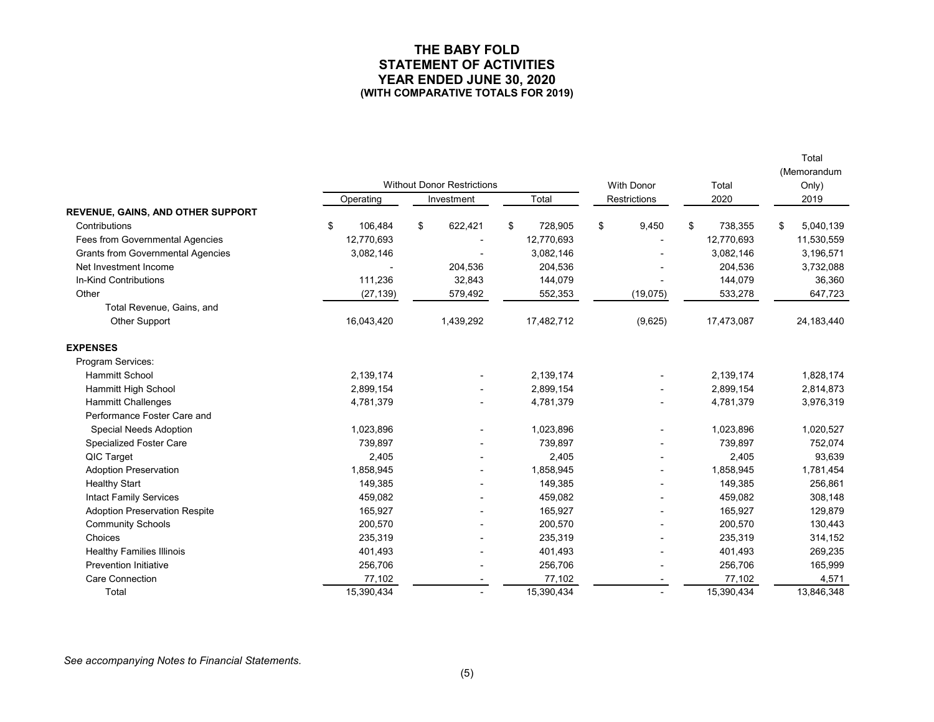#### **THE BABY FOLD STATEMENT OF ACTIVITIES YEAR ENDED JUNE 30, 2020 (WITH COMPARATIVE TOTALS FOR 2019)**

Total

|                                          |               |                                   |            |    |                   |    |              |    |            |      | (Memorandum |
|------------------------------------------|---------------|-----------------------------------|------------|----|-------------------|----|--------------|----|------------|------|-------------|
|                                          |               | <b>Without Donor Restrictions</b> |            |    | <b>With Donor</b> |    | Total        |    | Only)      |      |             |
|                                          | Operating     |                                   | Investment |    | Total             |    | Restrictions |    | 2020       | 2019 |             |
| REVENUE, GAINS, AND OTHER SUPPORT        |               |                                   |            |    |                   |    |              |    |            |      |             |
| Contributions                            | \$<br>106,484 | \$                                | 622,421    | \$ | 728,905           | \$ | 9,450        | \$ | 738,355    | \$   | 5,040,139   |
| <b>Fees from Governmental Agencies</b>   | 12,770,693    |                                   |            |    | 12,770,693        |    |              |    | 12,770,693 |      | 11,530,559  |
| <b>Grants from Governmental Agencies</b> | 3,082,146     |                                   |            |    | 3,082,146         |    |              |    | 3,082,146  |      | 3,196,571   |
| Net Investment Income                    |               |                                   | 204,536    |    | 204,536           |    |              |    | 204,536    |      | 3,732,088   |
| <b>In-Kind Contributions</b>             | 111,236       |                                   | 32,843     |    | 144,079           |    |              |    | 144,079    |      | 36,360      |
| Other                                    | (27, 139)     |                                   | 579,492    |    | 552,353           |    | (19,075)     |    | 533,278    |      | 647,723     |
| Total Revenue, Gains, and                |               |                                   |            |    |                   |    |              |    |            |      |             |
| Other Support                            | 16,043,420    |                                   | 1,439,292  |    | 17,482,712        |    | (9,625)      |    | 17,473,087 |      | 24,183,440  |
| <b>EXPENSES</b>                          |               |                                   |            |    |                   |    |              |    |            |      |             |
| Program Services:                        |               |                                   |            |    |                   |    |              |    |            |      |             |
| <b>Hammitt School</b>                    | 2,139,174     |                                   |            |    | 2,139,174         |    |              |    | 2,139,174  |      | 1,828,174   |
| <b>Hammitt High School</b>               | 2,899,154     |                                   |            |    | 2,899,154         |    |              |    | 2,899,154  |      | 2,814,873   |
| <b>Hammitt Challenges</b>                | 4,781,379     |                                   |            |    | 4,781,379         |    |              |    | 4,781,379  |      | 3,976,319   |
| Performance Foster Care and              |               |                                   |            |    |                   |    |              |    |            |      |             |
| Special Needs Adoption                   | 1,023,896     |                                   |            |    | 1,023,896         |    |              |    | 1,023,896  |      | 1,020,527   |
| Specialized Foster Care                  | 739,897       |                                   |            |    | 739,897           |    |              |    | 739,897    |      | 752,074     |
| QIC Target                               | 2,405         |                                   |            |    | 2,405             |    |              |    | 2,405      |      | 93,639      |
| <b>Adoption Preservation</b>             | 1,858,945     |                                   |            |    | 1,858,945         |    |              |    | 1,858,945  |      | 1,781,454   |
| <b>Healthy Start</b>                     | 149,385       |                                   |            |    | 149,385           |    |              |    | 149,385    |      | 256,861     |
| <b>Intact Family Services</b>            | 459,082       |                                   |            |    | 459,082           |    |              |    | 459,082    |      | 308,148     |
| <b>Adoption Preservation Respite</b>     | 165,927       |                                   |            |    | 165,927           |    |              |    | 165,927    |      | 129,879     |
| <b>Community Schools</b>                 | 200,570       |                                   |            |    | 200,570           |    |              |    | 200,570    |      | 130,443     |
| Choices                                  | 235,319       |                                   |            |    | 235,319           |    |              |    | 235,319    |      | 314,152     |
| <b>Healthy Families Illinois</b>         | 401,493       |                                   |            |    | 401,493           |    |              |    | 401,493    |      | 269,235     |
| <b>Prevention Initiative</b>             | 256,706       |                                   |            |    | 256,706           |    |              |    | 256,706    |      | 165,999     |
| <b>Care Connection</b>                   | 77,102        |                                   |            |    | 77,102            |    |              |    | 77,102     |      | 4,571       |
| Total                                    | 15,390,434    |                                   |            |    | 15,390,434        |    |              |    | 15,390,434 |      | 13,846,348  |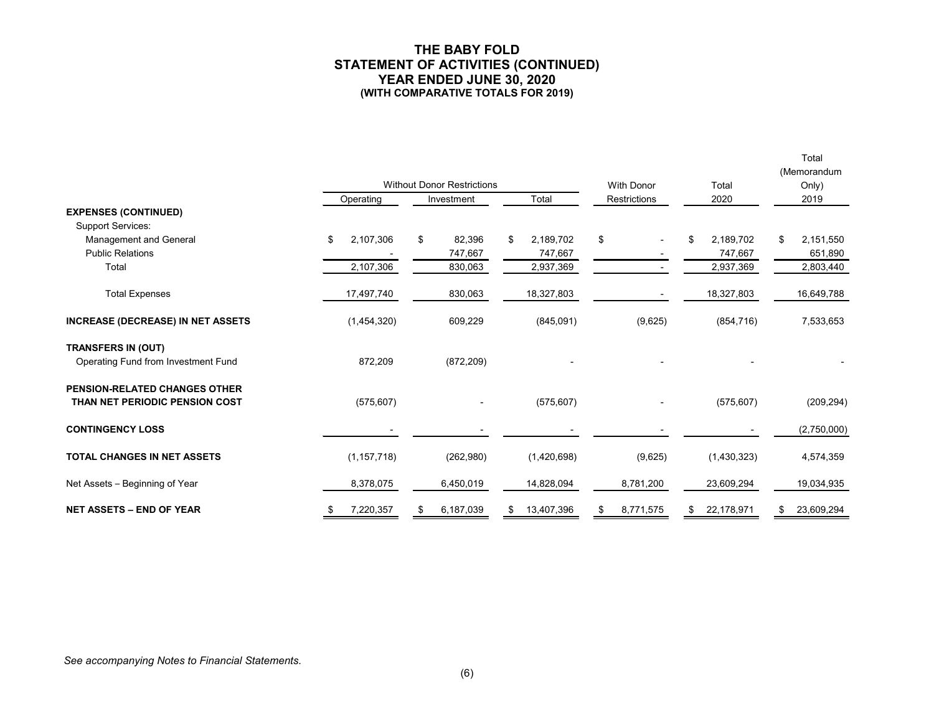#### **THE BABY FOLD STATEMENT OF ACTIVITIES (CONTINUED) YEAR ENDED JUNE 30, 2020 (WITH COMPARATIVE TOTALS FOR 2019)**

Total

|                                                                  |                 | <b>Without Donor Restrictions</b> |                            | <b>With Donor</b>              | Total                      | (Memorandum<br>Only)       |  |
|------------------------------------------------------------------|-----------------|-----------------------------------|----------------------------|--------------------------------|----------------------------|----------------------------|--|
|                                                                  | Operating       | Total<br>Investment               |                            | <b>Restrictions</b>            | 2020                       | 2019                       |  |
| <b>EXPENSES (CONTINUED)</b><br><b>Support Services:</b>          |                 |                                   |                            |                                |                            |                            |  |
| Management and General<br><b>Public Relations</b>                | \$<br>2,107,306 | \$<br>82,396<br>747,667           | \$<br>2,189,702<br>747,667 | \$<br>$\overline{\phantom{a}}$ | \$<br>2,189,702<br>747,667 | \$<br>2,151,550<br>651,890 |  |
| Total                                                            | 2,107,306       | 830,063                           | 2,937,369                  |                                | 2,937,369                  | 2,803,440                  |  |
| <b>Total Expenses</b>                                            | 17,497,740      | 830,063                           | 18,327,803                 |                                | 18,327,803                 | 16,649,788                 |  |
| <b>INCREASE (DECREASE) IN NET ASSETS</b>                         | (1,454,320)     | 609,229                           | (845,091)                  | (9,625)                        | (854, 716)                 | 7,533,653                  |  |
| <b>TRANSFERS IN (OUT)</b><br>Operating Fund from Investment Fund | 872,209         | (872, 209)                        |                            |                                |                            |                            |  |
| PENSION-RELATED CHANGES OTHER<br>THAN NET PERIODIC PENSION COST  | (575, 607)      |                                   | (575, 607)                 |                                | (575, 607)                 | (209, 294)                 |  |
| <b>CONTINGENCY LOSS</b>                                          |                 |                                   |                            |                                |                            | (2,750,000)                |  |
| <b>TOTAL CHANGES IN NET ASSETS</b>                               | (1, 157, 718)   | (262,980)                         | (1,420,698)                | (9,625)                        | (1,430,323)                | 4,574,359                  |  |
| Net Assets - Beginning of Year                                   | 8,378,075       | 6,450,019                         | 14,828,094                 | 8,781,200                      | 23,609,294                 | 19,034,935                 |  |
| <b>NET ASSETS - END OF YEAR</b>                                  | 7,220,357<br>S. | 6,187,039<br>S                    | \$<br>13,407,396           | 8,771,575<br>\$                | 22,178,971<br>\$           | 23,609,294<br>\$           |  |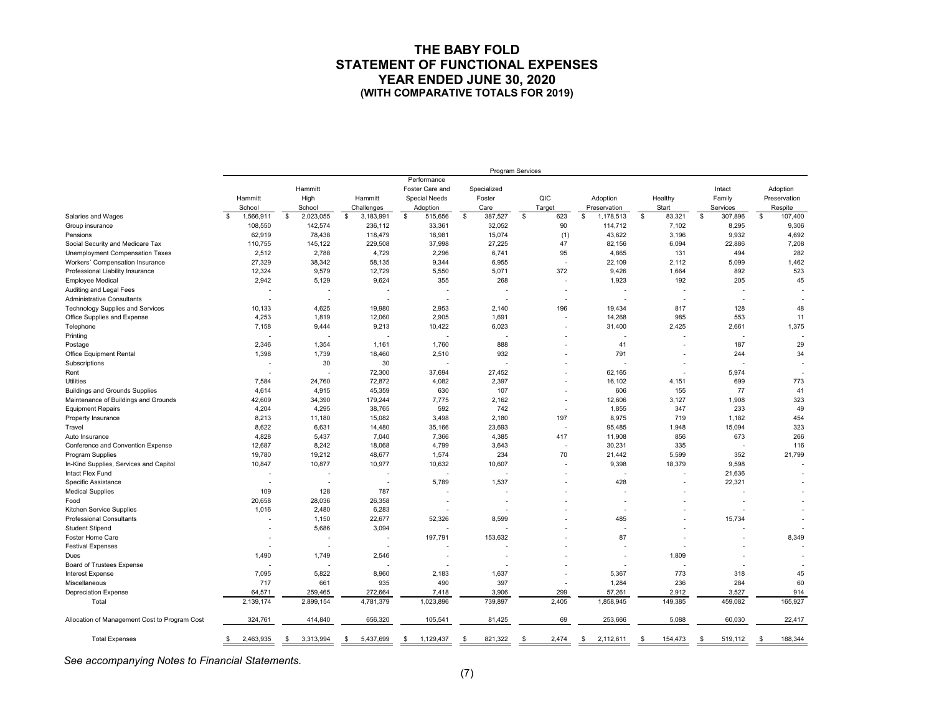#### **THE BABY FOLD STATEMENT OF FUNCTIONAL EXPENSES YEAR ENDED JUNE 30, 2020 (WITH COMPARATIVE TOTALS FOR 2019)**

|                                               |                   |                   |                          |                      |                 | Program Services         |                          |                 |                 |               |
|-----------------------------------------------|-------------------|-------------------|--------------------------|----------------------|-----------------|--------------------------|--------------------------|-----------------|-----------------|---------------|
|                                               |                   |                   |                          | Performance          |                 |                          |                          |                 |                 |               |
|                                               |                   | Hammitt           |                          | Foster Care and      | Specialized     |                          |                          |                 | Intact          | Adoption      |
|                                               | Hammitt           | High              | Hammitt                  | <b>Special Needs</b> | Foster          | QIC                      | Adoption                 | Healthy         | Family          | Preservation  |
|                                               | School            | School            | Challenges               | Adoption             | Care            | Target                   | Preservation             | Start           | Services        | Respite       |
| Salaries and Wages                            | 1,566,911<br>-\$  | 2,023,055<br>\$   | \$<br>3,183,991          | \$<br>515,656        | \$<br>387,527   | \$<br>623                | \$<br>1,178,513          | \$<br>83,321    | \$<br>307,896   | \$<br>107,400 |
| Group insurance                               | 108,550           | 142,574           | 236,112                  | 33,361               | 32,052          | 90                       | 114,712                  | 7,102           | 8,295           | 9,306         |
| Pensions                                      | 62,919            | 78,438            | 118,479                  | 18,981               | 15,074          | (1)                      | 43,622                   | 3,196           | 9,932           | 4,692         |
| Social Security and Medicare Tax              | 110,755           | 145,122           | 229,508                  | 37,998               | 27,225          | 47                       | 82,156                   | 6,094           | 22,886          | 7,208         |
| Unemployment Compensation Taxes               | 2,512             | 2,788             | 4,729                    | 2,296                | 6,741           | 95                       | 4,865                    | 131             | 494             | 282           |
| Workers' Compensation Insurance               | 27,329            | 38,342            | 58,135                   | 9,344                | 6,955           | $\overline{\phantom{a}}$ | 22,109                   | 2,112           | 5,099           | 1,462         |
| Professional Liability Insurance              | 12,324            | 9,579             | 12,729                   | 5,550                | 5,071           | 372                      | 9,426                    | 1,664           | 892             | 523           |
| <b>Employee Medical</b>                       | 2,942             | 5,129             | 9,624                    | 355                  | 268             | $\overline{\phantom{a}}$ | 1,923                    | 192             | 205             | 45            |
| Auditing and Legal Fees                       |                   |                   |                          |                      |                 |                          |                          |                 |                 |               |
| Administrative Consultants                    | . .               | ۰.                |                          |                      |                 |                          |                          |                 |                 |               |
|                                               |                   |                   |                          |                      |                 |                          |                          |                 |                 | 48            |
| <b>Technology Supplies and Services</b>       | 10.133            | 4.625             | 19,980                   | 2,953                | 2,140           | 196                      | 19,434                   | 817             | 128             |               |
| Office Supplies and Expense                   | 4,253             | 1,819             | 12,060                   | 2,905                | 1,691           |                          | 14,268                   | 985             | 553             | 11            |
| Telephone                                     | 7,158             | 9,444             | 9,213                    | 10,422               | 6,023           |                          | 31,400                   | 2,425           | 2,661           | 1,375         |
| Printing                                      |                   |                   |                          |                      |                 |                          | $\overline{\phantom{a}}$ |                 |                 |               |
| Postage                                       | 2,346             | 1,354             | 1,161                    | 1,760                | 888             |                          | 41                       |                 | 187             | 29            |
| <b>Office Equipment Rental</b>                | 1,398             | 1,739             | 18,460                   | 2,510                | 932             |                          | 791                      |                 | 244             | 34            |
| Subscriptions                                 |                   | 30                | 30                       |                      |                 |                          |                          |                 |                 |               |
| Rent                                          |                   |                   | 72,300                   | 37,694               | 27,452          |                          | 62,165                   |                 | 5,974           |               |
| Utilities                                     | 7,584             | 24,760            | 72,872                   | 4,082                | 2,397           |                          | 16,102                   | 4,151           | 699             | 773           |
| <b>Buildings and Grounds Supplies</b>         | 4,614             | 4,915             | 45,359                   | 630                  | 107             |                          | 606                      | 155             | 77              | 41            |
| Maintenance of Buildings and Grounds          | 42,609            | 34,390            | 179,244                  | 7,775                | 2,162           | $\overline{\phantom{a}}$ | 12,606                   | 3,127           | 1,908           | 323           |
| <b>Equipment Repairs</b>                      | 4,204             | 4,295             | 38,765                   | 592                  | 742             | $\overline{\phantom{a}}$ | 1,855                    | 347             | 233             | 49            |
| Property Insurance                            | 8,213             | 11,180            | 15,082                   | 3,498                | 2,180           | 197                      | 8,975                    | 719             | 1,182           | 454           |
| Travel                                        | 8,622             | 6,631             | 14,480                   | 35,166               | 23,693          | $\overline{\phantom{a}}$ | 95,485                   | 1,948           | 15,094          | 323           |
| Auto Insurance                                | 4,828             | 5,437             | 7,040                    | 7,366                | 4,385           | 417                      | 11,908                   | 856             | 673             | 266           |
| Conference and Convention Expense             | 12,687            | 8.242             | 18.068                   | 4,799                | 3,643           |                          | 30,231                   | 335             |                 | 116           |
| Program Supplies                              | 19,780            | 19,212            | 48,677                   | 1,574                | 234             | 70                       | 21,442                   | 5,599           | 352             | 21,799        |
| In-Kind Supplies, Services and Capitol        | 10,847            | 10,877            | 10,977                   | 10,632               | 10,607          | $\overline{\phantom{a}}$ | 9,398                    | 18,379          | 9,598           |               |
| Intact Flex Fund                              |                   |                   |                          |                      |                 |                          |                          |                 | 21,636          |               |
| Specific Assistance                           |                   |                   | $\overline{\phantom{a}}$ | 5,789                | 1,537           |                          | 428                      |                 | 22,321          |               |
| <b>Medical Supplies</b>                       | 109               | 128               | 787                      |                      |                 |                          |                          |                 |                 |               |
| Food                                          | 20,658            | 28,036            | 26,358                   |                      |                 |                          |                          |                 |                 |               |
| Kitchen Service Supplies                      | 1,016             | 2,480             | 6,283                    |                      |                 |                          |                          |                 |                 |               |
| Professional Consultants                      |                   | 1,150             | 22,677                   | 52,326               | 8,599           |                          | 485                      |                 | 15,734          |               |
| <b>Student Stipend</b>                        |                   | 5,686             | 3,094                    |                      |                 |                          |                          |                 |                 |               |
| Foster Home Care                              |                   |                   |                          | 197,791              | 153,632         |                          | 87                       |                 |                 | 8,349         |
| <b>Festival Expenses</b>                      |                   |                   |                          |                      |                 |                          |                          |                 |                 |               |
| Dues                                          | 1,490             | 1,749             | 2,546                    |                      |                 |                          |                          | 1,809           |                 |               |
| Board of Trustees Expense                     |                   |                   |                          |                      |                 |                          | $\overline{a}$           |                 |                 |               |
| <b>Interest Expense</b>                       | 7,095             | 5,822             | 8,960                    | 2,183                | 1,637           |                          | 5,367                    | 773             | 318             | 45            |
| Miscellaneous                                 | 717               | 661               | 935                      | 490                  | 397             |                          | 1,284                    | 236             | 284             | 60            |
| <b>Depreciation Expense</b>                   | 64,571            | 259,465           | 272,664                  | 7,418                | 3,906           | 299                      | 57,261                   | 2,912           | 3,527           | 914           |
| Total                                         | 2,139,174         | 2,899,154         | 4,781,379                | 1,023,896            | 739,897         | 2,405                    | 1,858,945                | 149,385         | 459,082         | 165,927       |
|                                               |                   |                   |                          |                      |                 |                          |                          |                 |                 |               |
| Allocation of Management Cost to Program Cost | 324,761           | 414,840           | 656,320                  | 105,541              | 81,425          | 69                       | 253,666                  | 5,088           | 60,030          | 22,417        |
| <b>Total Expenses</b>                         | 2,463,935<br>- \$ | 3,313,994<br>- \$ | 5,437,699<br>\$          | 1,129,437<br>- \$    | 821,322<br>- \$ | 2,474<br>-S              | 2,112,611<br>- \$        | 154,473<br>- \$ | 519,112<br>- \$ | 188,344<br>-S |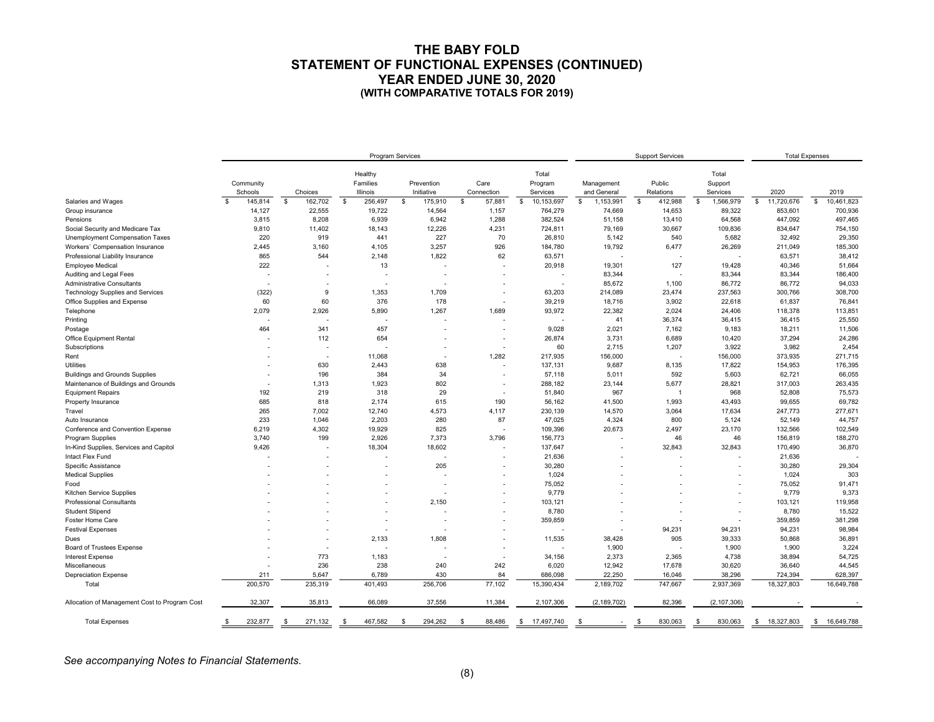#### **THE BABY FOLD STATEMENT OF FUNCTIONAL EXPENSES (CONTINUED) YEAR ENDED JUNE 30, 2020 (WITH COMPARATIVE TOTALS FOR 2019)**

|                                               |                         |                          | <b>Program Services</b>         |                          |                          |                              | <b>Support Services</b>   |                     | <b>Total Expenses</b>        |                  |                    |
|-----------------------------------------------|-------------------------|--------------------------|---------------------------------|--------------------------|--------------------------|------------------------------|---------------------------|---------------------|------------------------------|------------------|--------------------|
|                                               | Community<br>Schools    | Choices                  | Healthy<br>Families<br>Illinois | Prevention<br>Initiative | Care<br>Connection       | Total<br>Program<br>Services | Management<br>and General | Public<br>Relations | Total<br>Support<br>Services | 2020             | 2019               |
| Salaries and Wages                            | $\mathbf{s}$<br>145,814 | \$<br>162,702            | \$<br>256,497                   | \$<br>175,910            | \$<br>57,881             | \$<br>10,153,697             | 1,153,991<br>s.           | \$<br>412,988       | 1,566,979<br>$\mathfrak s$   | 11,720,676<br>\$ | 10,461,823<br>\$   |
| Group insurance                               | 14,127                  | 22,555                   | 19,722                          | 14,564                   | 1,157                    | 764,279                      | 74,669                    | 14,653              | 89,322                       | 853,601          | 700,936            |
| Pensions                                      | 3,815                   | 8,208                    | 6,939                           | 6,942                    | 1,288                    | 382,524                      | 51,158                    | 13,410              | 64,568                       | 447,092          | 497,465            |
| Social Security and Medicare Tax              | 9,810                   | 11,402                   | 18,143                          | 12,226                   | 4,231                    | 724,811                      | 79,169                    | 30,667              | 109,836                      | 834,647          | 754,150            |
| Unemployment Compensation Taxes               | 220                     | 919                      | 441                             | 227                      | 70                       | 26,810                       | 5,142                     | 540                 | 5,682                        | 32,492           | 29,350             |
| Workers' Compensation Insurance               | 2,445                   | 3,160                    | 4,105                           | 3,257                    | 926                      | 184,780                      | 19,792                    | 6,477               | 26,269                       | 211,049          | 185,300            |
| Professional Liability Insurance              | 865                     | 544                      | 2,148                           | 1,822                    | 62                       | 63,571                       |                           |                     |                              | 63,571           | 38,412             |
| <b>Employee Medical</b>                       | 222                     |                          | 13                              |                          |                          | 20,918                       | 19,301                    | 127                 | 19,428                       | 40,346           | 51,664             |
| Auditing and Legal Fees                       |                         |                          |                                 |                          |                          | $\overline{\phantom{a}}$     | 83,344                    |                     | 83,344                       | 83,344           | 186,400            |
| Administrative Consultants                    |                         |                          |                                 | ٠                        |                          | $\overline{\phantom{a}}$     | 85,672                    | 1,100               | 86,772                       | 86,772           | 94,033             |
| Technology Supplies and Services              | (322)                   | 9                        | 1,353                           | 1,709                    |                          | 63,203                       | 214,089                   | 23,474              | 237,563                      | 300,766          | 308,700            |
| Office Supplies and Expense                   | 60                      | 60                       | 376                             | 178                      | $\blacksquare$           | 39,219                       | 18,716                    | 3,902               | 22,618                       | 61,837           | 76,841             |
| Telephone                                     | 2,079                   | 2,926                    | 5,890                           | 1,267                    | 1,689                    | 93,972                       | 22,382                    | 2,024               | 24,406                       | 118,378          | 113,851            |
| Printing                                      |                         |                          |                                 |                          |                          |                              | 41                        | 36,374              | 36,415                       | 36,415           | 25,550             |
| Postage                                       | 464                     | 341                      | 457                             |                          |                          | 9,028                        | 2,021                     | 7,162               | 9,183                        | 18,211           | 11,506             |
| <b>Office Equipment Rental</b>                |                         | 112                      | 654                             |                          |                          | 26,874                       | 3,731                     | 6,689               | 10,420                       | 37,294           | 24,286             |
| Subscriptions                                 |                         | $\overline{a}$           |                                 |                          | $\overline{\phantom{a}}$ | 60                           | 2,715                     | 1,207               | 3,922                        | 3,982            | 2,454              |
| Rent                                          |                         | $\overline{\phantom{a}}$ | 11,068                          |                          | 1,282                    | 217,935                      | 156,000                   |                     | 156,000                      | 373,935          | 271,715            |
| Utilities                                     |                         | 630                      | 2,443                           | 638                      | $\blacksquare$           | 137,131                      | 9,687                     | 8,135               | 17,822                       | 154,953          | 176,395            |
| <b>Buildings and Grounds Supplies</b>         |                         | 196                      | 384                             | 34                       |                          | 57,118                       | 5,011                     | 592                 | 5,603                        | 62,721           | 66,055             |
| Maintenance of Buildings and Grounds          |                         | 1,313                    | 1,923                           | 802                      |                          | 288,182                      | 23,144                    | 5,677               | 28,821                       | 317,003          | 263,435            |
| <b>Equipment Repairs</b>                      | 192                     | 219                      | 318                             | 29                       |                          | 51,840                       | 967                       | $\overline{1}$      | 968                          | 52,808           | 75,573             |
| Property Insurance                            | 685                     | 818                      | 2,174                           | 615                      | 190                      | 56,162                       | 41,500                    | 1,993               | 43,493                       | 99,655           | 69,782             |
| Travel                                        | 265                     | 7,002                    | 12,740                          | 4,573                    | 4,117                    | 230,139                      | 14,570                    | 3,064               | 17,634                       | 247,773          | 277,671            |
| Auto Insurance                                | 233                     | 1,046                    | 2,203                           | 280                      | 87                       | 47,025                       | 4,324                     | 800                 | 5,124                        | 52,149           | 44,757             |
| Conference and Convention Expense             | 6,219                   | 4,302                    | 19,929                          | 825                      | $\overline{\phantom{a}}$ | 109,396                      | 20,673                    | 2,497               | 23,170                       | 132,566          | 102,549            |
| <b>Program Supplies</b>                       | 3,740                   | 199                      | 2,926                           | 7,373                    | 3,796                    | 156,773                      |                           | 46                  | 46                           | 156,819          | 188,270            |
| In-Kind Supplies, Services and Capitol        | 9,426                   |                          | 18,304                          | 18,602                   | $\overline{\phantom{a}}$ | 137,647                      |                           | 32,843              | 32,843                       | 170,490          | 36,870             |
| Intact Flex Fund                              |                         |                          |                                 |                          |                          | 21,636                       |                           |                     |                              | 21,636           |                    |
| Specific Assistance                           |                         |                          |                                 | 205                      |                          | 30,280                       |                           |                     |                              | 30,280           | 29,304             |
| <b>Medical Supplies</b>                       |                         |                          |                                 |                          |                          | 1,024                        |                           |                     |                              | 1,024            | 303                |
| Food                                          |                         |                          |                                 |                          |                          | 75.052                       |                           |                     |                              | 75,052           | 91,471             |
| Kitchen Service Supplies                      |                         |                          |                                 |                          |                          | 9,779                        |                           |                     |                              | 9,779            | 9,373              |
| <b>Professional Consultants</b>               |                         |                          |                                 | 2,150                    |                          | 103,121                      |                           |                     |                              | 103,121          | 119,958            |
| <b>Student Stipend</b>                        |                         |                          |                                 |                          |                          | 8,780                        |                           |                     |                              | 8,780            | 15,522             |
| Foster Home Care                              |                         |                          |                                 |                          |                          | 359,859                      |                           |                     |                              | 359,859          | 381,298            |
| <b>Festival Expenses</b>                      |                         |                          |                                 |                          |                          |                              |                           | 94,231              | 94,231                       | 94,231           | 98,984             |
| Dues                                          |                         |                          | 2,133                           | 1,808                    |                          | 11,535                       | 38,428                    | 905                 | 39,333                       | 50,868           | 36,891             |
| Board of Trustees Expense                     |                         |                          |                                 |                          |                          |                              | 1,900                     |                     | 1,900                        | 1,900            | 3,224              |
| <b>Interest Expense</b>                       |                         | 773                      | 1,183                           |                          |                          | 34,156                       | 2.373                     | 2.365               | 4.738                        | 38,894           | 54,725             |
| Miscellaneous                                 |                         | 236                      | 238                             | 240                      | 242                      | 6,020                        | 12,942                    | 17,678              | 30,620                       | 36,640           | 44,545             |
| <b>Depreciation Expense</b>                   | 211                     | 5,647                    | 6,789                           | 430                      | 84                       | 686,098                      | 22,250                    | 16,046              | 38,296                       | 724,394          | 628,397            |
| Total                                         | 200,570                 | 235,319                  | 401,493                         | 256,706                  | 77,102                   | 15,390,434                   | 2,189,702                 | 747,667             | 2,937,369                    | 18,327,803       | 16,649,788         |
|                                               |                         |                          |                                 |                          |                          |                              |                           |                     |                              |                  |                    |
| Allocation of Management Cost to Program Cost | 32,307                  | 35,813                   | 66,089                          | 37,556                   | 11,384                   | 2,107,306                    | (2, 189, 702)             | 82,396              | (2, 107, 306)                |                  |                    |
| <b>Total Expenses</b>                         | 232,877<br>\$           | 271,132<br>-\$           | 467,582<br>- \$                 | 294,262<br>-\$           | 88,486<br>\$             | 17,497,740<br>-\$            | - \$                      | 830,063             | 830,063<br>\$                | 18,327,803<br>\$ | 16,649,788<br>- \$ |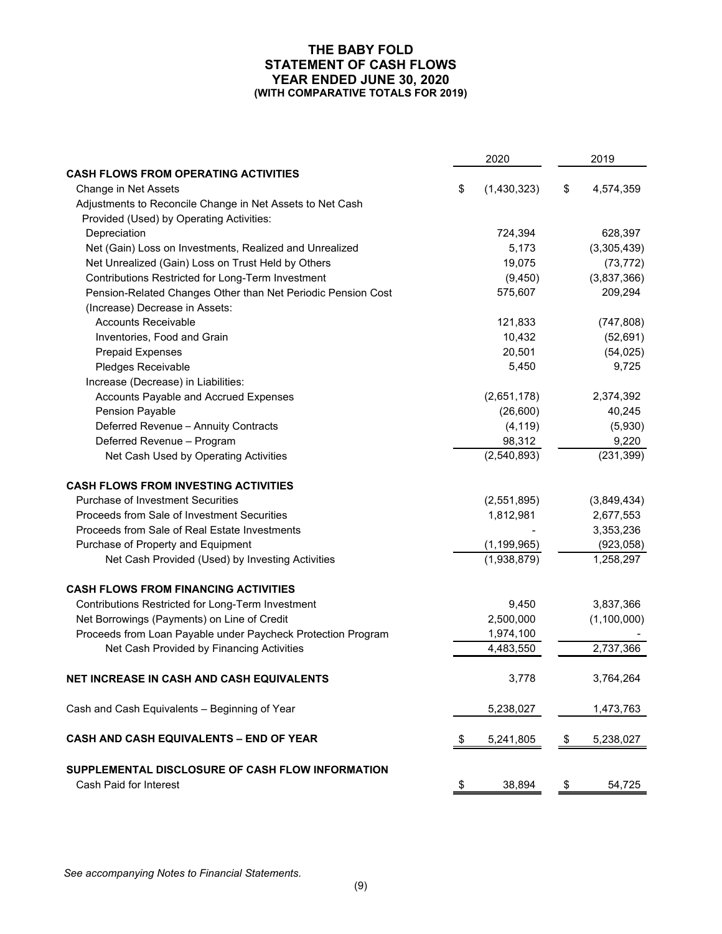#### **THE BABY FOLD STATEMENT OF CASH FLOWS YEAR ENDED JUNE 30, 2020 (WITH COMPARATIVE TOTALS FOR 2019)**

|                                                              | 2020              | 2019            |
|--------------------------------------------------------------|-------------------|-----------------|
| <b>CASH FLOWS FROM OPERATING ACTIVITIES</b>                  |                   |                 |
| Change in Net Assets                                         | \$<br>(1,430,323) | \$<br>4,574,359 |
| Adjustments to Reconcile Change in Net Assets to Net Cash    |                   |                 |
| Provided (Used) by Operating Activities:                     |                   |                 |
| Depreciation                                                 | 724,394           | 628,397         |
| Net (Gain) Loss on Investments, Realized and Unrealized      | 5,173             | (3,305,439)     |
| Net Unrealized (Gain) Loss on Trust Held by Others           | 19,075            | (73, 772)       |
| Contributions Restricted for Long-Term Investment            | (9, 450)          | (3,837,366)     |
| Pension-Related Changes Other than Net Periodic Pension Cost | 575,607           | 209,294         |
| (Increase) Decrease in Assets:                               |                   |                 |
| <b>Accounts Receivable</b>                                   | 121,833           | (747, 808)      |
| Inventories, Food and Grain                                  | 10,432            | (52, 691)       |
| <b>Prepaid Expenses</b>                                      | 20,501            | (54, 025)       |
| Pledges Receivable                                           | 5,450             | 9,725           |
| Increase (Decrease) in Liabilities:                          |                   |                 |
| Accounts Payable and Accrued Expenses                        | (2,651,178)       | 2,374,392       |
| Pension Payable                                              | (26,600)          | 40,245          |
| Deferred Revenue - Annuity Contracts                         | (4, 119)          | (5,930)         |
| Deferred Revenue - Program                                   | 98,312            | 9,220           |
| Net Cash Used by Operating Activities                        | (2,540,893)       | (231, 399)      |
| <b>CASH FLOWS FROM INVESTING ACTIVITIES</b>                  |                   |                 |
| <b>Purchase of Investment Securities</b>                     | (2,551,895)       | (3,849,434)     |
| Proceeds from Sale of Investment Securities                  | 1,812,981         | 2,677,553       |
| Proceeds from Sale of Real Estate Investments                |                   | 3,353,236       |
| Purchase of Property and Equipment                           | (1, 199, 965)     | (923, 058)      |
| Net Cash Provided (Used) by Investing Activities             | (1,938,879)       | 1,258,297       |
| <b>CASH FLOWS FROM FINANCING ACTIVITIES</b>                  |                   |                 |
| Contributions Restricted for Long-Term Investment            | 9,450             | 3,837,366       |
| Net Borrowings (Payments) on Line of Credit                  | 2,500,000         | (1, 100, 000)   |
| Proceeds from Loan Payable under Paycheck Protection Program | 1,974,100         |                 |
| Net Cash Provided by Financing Activities                    | 4,483,550         | 2,737,366       |
| <b>NET INCREASE IN CASH AND CASH EQUIVALENTS</b>             | 3.778             | 3,764,264       |
| Cash and Cash Equivalents - Beginning of Year                | 5,238,027         | 1,473,763       |
| CASH AND CASH EQUIVALENTS - END OF YEAR                      | \$<br>5,241,805   | \$<br>5,238,027 |
| SUPPLEMENTAL DISCLOSURE OF CASH FLOW INFORMATION             |                   |                 |
| Cash Paid for Interest                                       | \$<br>38,894      | \$<br>54,725    |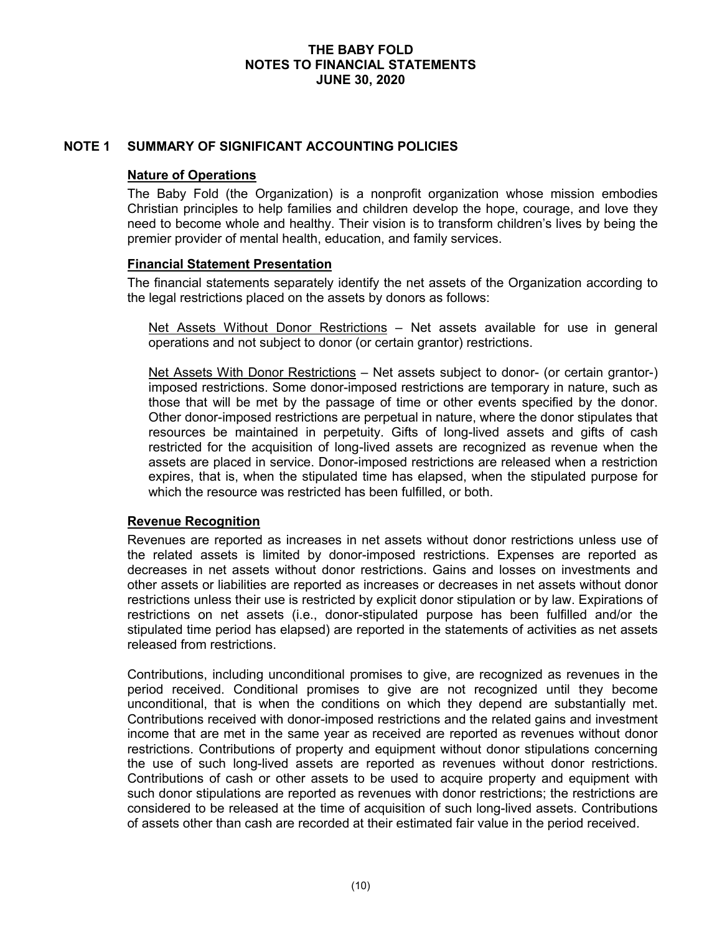## **NOTE 1 SUMMARY OF SIGNIFICANT ACCOUNTING POLICIES**

#### **Nature of Operations**

The Baby Fold (the Organization) is a nonprofit organization whose mission embodies Christian principles to help families and children develop the hope, courage, and love they need to become whole and healthy. Their vision is to transform children's lives by being the premier provider of mental health, education, and family services.

#### **Financial Statement Presentation**

The financial statements separately identify the net assets of the Organization according to the legal restrictions placed on the assets by donors as follows:

Net Assets Without Donor Restrictions – Net assets available for use in general operations and not subject to donor (or certain grantor) restrictions.

Net Assets With Donor Restrictions – Net assets subject to donor- (or certain grantor-) imposed restrictions. Some donor-imposed restrictions are temporary in nature, such as those that will be met by the passage of time or other events specified by the donor. Other donor-imposed restrictions are perpetual in nature, where the donor stipulates that resources be maintained in perpetuity. Gifts of long-lived assets and gifts of cash restricted for the acquisition of long-lived assets are recognized as revenue when the assets are placed in service. Donor-imposed restrictions are released when a restriction expires, that is, when the stipulated time has elapsed, when the stipulated purpose for which the resource was restricted has been fulfilled, or both.

#### **Revenue Recognition**

Revenues are reported as increases in net assets without donor restrictions unless use of the related assets is limited by donor-imposed restrictions. Expenses are reported as decreases in net assets without donor restrictions. Gains and losses on investments and other assets or liabilities are reported as increases or decreases in net assets without donor restrictions unless their use is restricted by explicit donor stipulation or by law. Expirations of restrictions on net assets (i.e., donor-stipulated purpose has been fulfilled and/or the stipulated time period has elapsed) are reported in the statements of activities as net assets released from restrictions.

Contributions, including unconditional promises to give, are recognized as revenues in the period received. Conditional promises to give are not recognized until they become unconditional, that is when the conditions on which they depend are substantially met. Contributions received with donor-imposed restrictions and the related gains and investment income that are met in the same year as received are reported as revenues without donor restrictions. Contributions of property and equipment without donor stipulations concerning the use of such long-lived assets are reported as revenues without donor restrictions. Contributions of cash or other assets to be used to acquire property and equipment with such donor stipulations are reported as revenues with donor restrictions; the restrictions are considered to be released at the time of acquisition of such long-lived assets. Contributions of assets other than cash are recorded at their estimated fair value in the period received.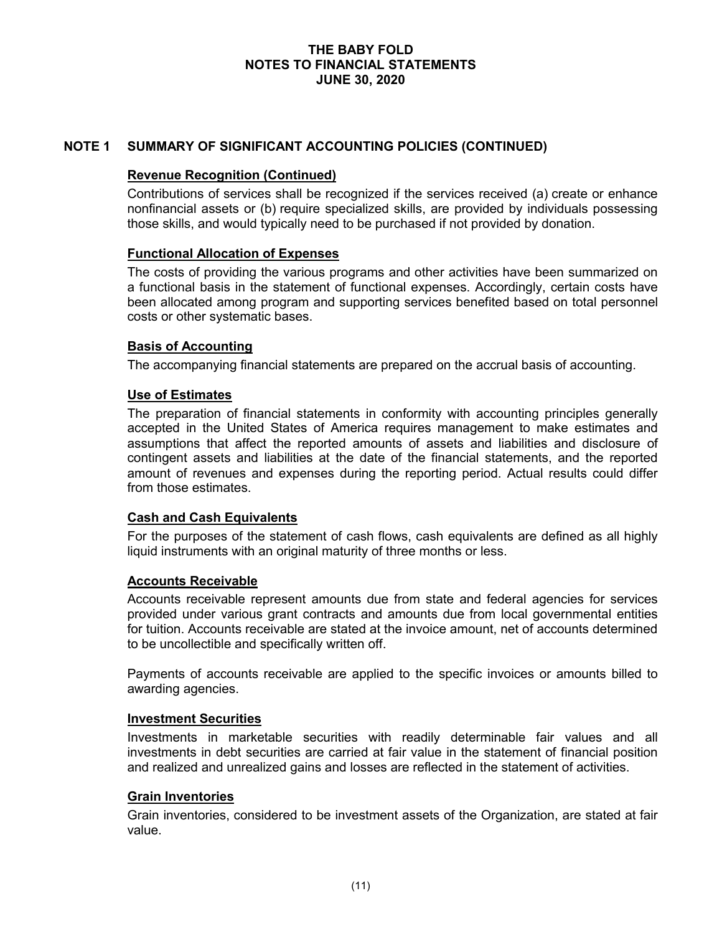# **NOTE 1 SUMMARY OF SIGNIFICANT ACCOUNTING POLICIES (CONTINUED)**

# **Revenue Recognition (Continued)**

Contributions of services shall be recognized if the services received (a) create or enhance nonfinancial assets or (b) require specialized skills, are provided by individuals possessing those skills, and would typically need to be purchased if not provided by donation.

## **Functional Allocation of Expenses**

The costs of providing the various programs and other activities have been summarized on a functional basis in the statement of functional expenses. Accordingly, certain costs have been allocated among program and supporting services benefited based on total personnel costs or other systematic bases.

# **Basis of Accounting**

The accompanying financial statements are prepared on the accrual basis of accounting.

## **Use of Estimates**

The preparation of financial statements in conformity with accounting principles generally accepted in the United States of America requires management to make estimates and assumptions that affect the reported amounts of assets and liabilities and disclosure of contingent assets and liabilities at the date of the financial statements, and the reported amount of revenues and expenses during the reporting period. Actual results could differ from those estimates.

#### **Cash and Cash Equivalents**

For the purposes of the statement of cash flows, cash equivalents are defined as all highly liquid instruments with an original maturity of three months or less.

#### **Accounts Receivable**

Accounts receivable represent amounts due from state and federal agencies for services provided under various grant contracts and amounts due from local governmental entities for tuition. Accounts receivable are stated at the invoice amount, net of accounts determined to be uncollectible and specifically written off.

Payments of accounts receivable are applied to the specific invoices or amounts billed to awarding agencies.

#### **Investment Securities**

Investments in marketable securities with readily determinable fair values and all investments in debt securities are carried at fair value in the statement of financial position and realized and unrealized gains and losses are reflected in the statement of activities.

#### **Grain Inventories**

Grain inventories, considered to be investment assets of the Organization, are stated at fair value.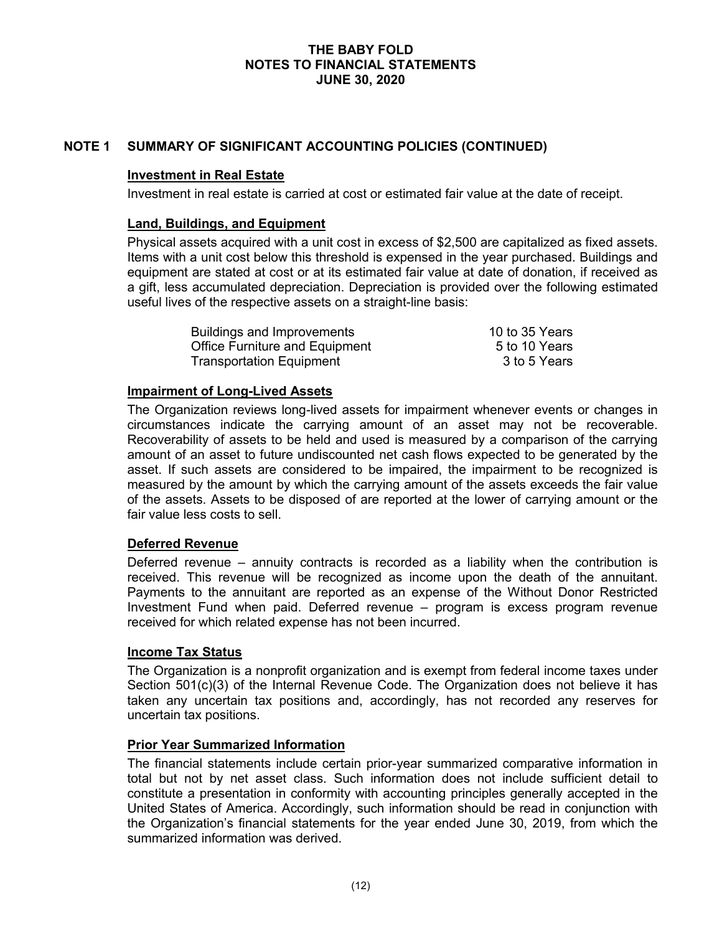# **NOTE 1 SUMMARY OF SIGNIFICANT ACCOUNTING POLICIES (CONTINUED)**

## **Investment in Real Estate**

Investment in real estate is carried at cost or estimated fair value at the date of receipt.

## **Land, Buildings, and Equipment**

Physical assets acquired with a unit cost in excess of \$2,500 are capitalized as fixed assets. Items with a unit cost below this threshold is expensed in the year purchased. Buildings and equipment are stated at cost or at its estimated fair value at date of donation, if received as a gift, less accumulated depreciation. Depreciation is provided over the following estimated useful lives of the respective assets on a straight-line basis:

| <b>Buildings and Improvements</b>     | 10 to 35 Years |
|---------------------------------------|----------------|
| <b>Office Furniture and Equipment</b> | 5 to 10 Years  |
| <b>Transportation Equipment</b>       | 3 to 5 Years   |

## **Impairment of Long-Lived Assets**

The Organization reviews long-lived assets for impairment whenever events or changes in circumstances indicate the carrying amount of an asset may not be recoverable. Recoverability of assets to be held and used is measured by a comparison of the carrying amount of an asset to future undiscounted net cash flows expected to be generated by the asset. If such assets are considered to be impaired, the impairment to be recognized is measured by the amount by which the carrying amount of the assets exceeds the fair value of the assets. Assets to be disposed of are reported at the lower of carrying amount or the fair value less costs to sell.

# **Deferred Revenue**

Deferred revenue – annuity contracts is recorded as a liability when the contribution is received. This revenue will be recognized as income upon the death of the annuitant. Payments to the annuitant are reported as an expense of the Without Donor Restricted Investment Fund when paid. Deferred revenue – program is excess program revenue received for which related expense has not been incurred.

#### **Income Tax Status**

The Organization is a nonprofit organization and is exempt from federal income taxes under Section 501(c)(3) of the Internal Revenue Code. The Organization does not believe it has taken any uncertain tax positions and, accordingly, has not recorded any reserves for uncertain tax positions.

#### **Prior Year Summarized Information**

The financial statements include certain prior-year summarized comparative information in total but not by net asset class. Such information does not include sufficient detail to constitute a presentation in conformity with accounting principles generally accepted in the United States of America. Accordingly, such information should be read in conjunction with the Organization's financial statements for the year ended June 30, 2019, from which the summarized information was derived.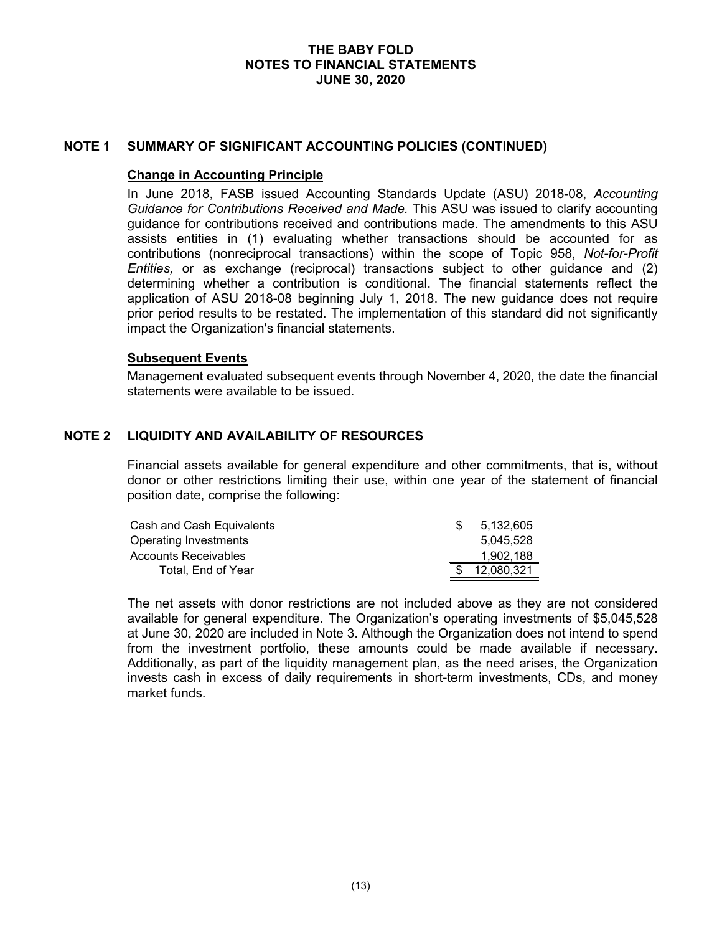## **NOTE 1 SUMMARY OF SIGNIFICANT ACCOUNTING POLICIES (CONTINUED)**

## **Change in Accounting Principle**

In June 2018, FASB issued Accounting Standards Update (ASU) 2018-08, *Accounting Guidance for Contributions Received and Made.* This ASU was issued to clarify accounting guidance for contributions received and contributions made. The amendments to this ASU assists entities in (1) evaluating whether transactions should be accounted for as contributions (nonreciprocal transactions) within the scope of Topic 958, *Not-for-Profit Entities,* or as exchange (reciprocal) transactions subject to other guidance and (2) determining whether a contribution is conditional. The financial statements reflect the application of ASU 2018-08 beginning July 1, 2018. The new guidance does not require prior period results to be restated. The implementation of this standard did not significantly impact the Organization's financial statements.

#### **Subsequent Events**

Management evaluated subsequent events through November 4, 2020, the date the financial statements were available to be issued.

# **NOTE 2 LIQUIDITY AND AVAILABILITY OF RESOURCES**

Financial assets available for general expenditure and other commitments, that is, without donor or other restrictions limiting their use, within one year of the statement of financial position date, comprise the following:

| Cash and Cash Equivalents | 5.132.605  |
|---------------------------|------------|
| Operating Investments     | 5.045.528  |
| Accounts Receivables      | 1.902.188  |
| Total. End of Year        | 12,080,321 |

The net assets with donor restrictions are not included above as they are not considered available for general expenditure. The Organization's operating investments of \$5,045,528 at June 30, 2020 are included in Note 3. Although the Organization does not intend to spend from the investment portfolio, these amounts could be made available if necessary. Additionally, as part of the liquidity management plan, as the need arises, the Organization invests cash in excess of daily requirements in short-term investments, CDs, and money market funds.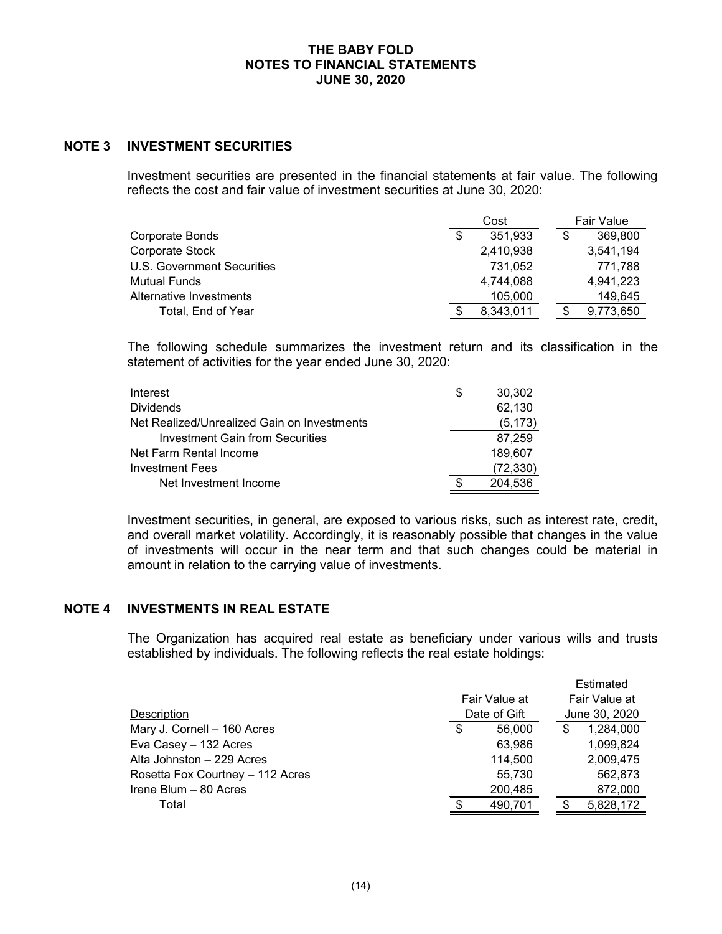# **NOTE 3 INVESTMENT SECURITIES**

Investment securities are presented in the financial statements at fair value. The following reflects the cost and fair value of investment securities at June 30, 2020:

|                            | Cost |           |  | <b>Fair Value</b> |
|----------------------------|------|-----------|--|-------------------|
| Corporate Bonds            | \$   | 351,933   |  | 369,800           |
| Corporate Stock            |      | 2,410,938 |  | 3,541,194         |
| U.S. Government Securities |      | 731.052   |  | 771.788           |
| <b>Mutual Funds</b>        |      | 4,744,088 |  | 4,941,223         |
| Alternative Investments    |      | 105,000   |  | 149,645           |
| Total, End of Year         |      | 8,343,011 |  | 9,773,650         |

The following schedule summarizes the investment return and its classification in the statement of activities for the year ended June 30, 2020:

| Interest                                    | \$<br>30.302 |
|---------------------------------------------|--------------|
| <b>Dividends</b>                            | 62,130       |
| Net Realized/Unrealized Gain on Investments | (5, 173)     |
| Investment Gain from Securities             | 87,259       |
| Net Farm Rental Income                      | 189,607      |
| <b>Investment Fees</b>                      | (72, 330)    |
| Net Investment Income                       | 204.536      |

Investment securities, in general, are exposed to various risks, such as interest rate, credit, and overall market volatility. Accordingly, it is reasonably possible that changes in the value of investments will occur in the near term and that such changes could be material in amount in relation to the carrying value of investments.

# **NOTE 4 INVESTMENTS IN REAL ESTATE**

The Organization has acquired real estate as beneficiary under various wills and trusts established by individuals. The following reflects the real estate holdings:

| Description                      | Fair Value at<br>Date of Gift | Estimated<br>Fair Value at<br>June 30, 2020 |
|----------------------------------|-------------------------------|---------------------------------------------|
| Mary J. Cornell - 160 Acres      | \$<br>56,000                  | \$<br>1,284,000                             |
| Eva Casey - 132 Acres            | 63,986                        | 1,099,824                                   |
| Alta Johnston - 229 Acres        | 114,500                       | 2,009,475                                   |
| Rosetta Fox Courtney - 112 Acres | 55,730                        | 562,873                                     |
| Irene Blum - 80 Acres            | 200,485                       | 872,000                                     |
| Total                            | 490,701                       | 5,828,172                                   |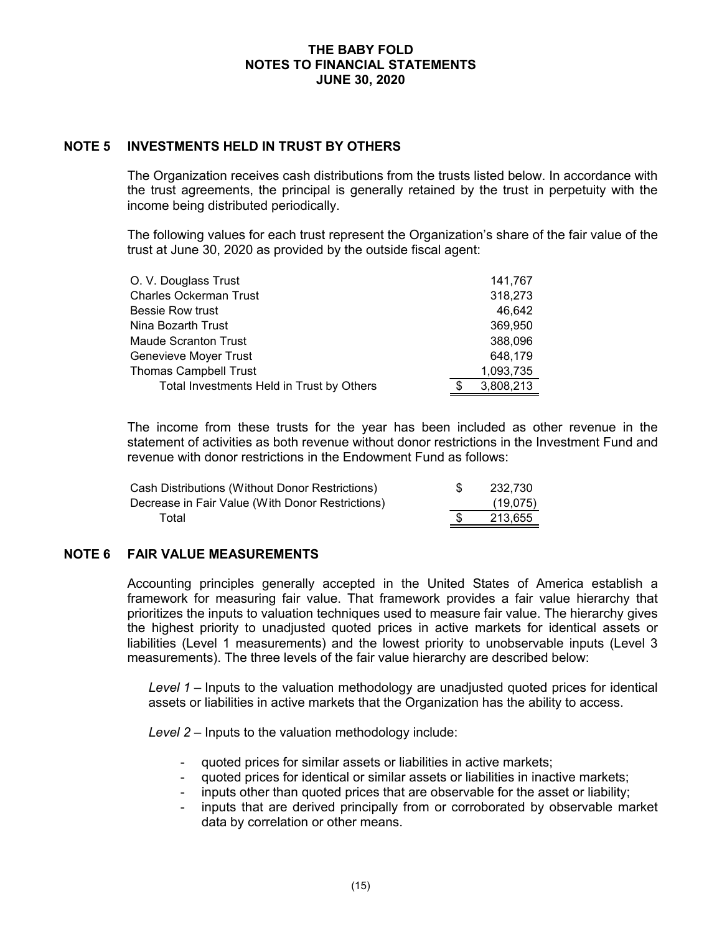## **NOTE 5 INVESTMENTS HELD IN TRUST BY OTHERS**

The Organization receives cash distributions from the trusts listed below. In accordance with the trust agreements, the principal is generally retained by the trust in perpetuity with the income being distributed periodically.

The following values for each trust represent the Organization's share of the fair value of the trust at June 30, 2020 as provided by the outside fiscal agent:

| O. V. Douglass Trust                      | 141,767   |
|-------------------------------------------|-----------|
| <b>Charles Ockerman Trust</b>             | 318,273   |
| <b>Bessie Row trust</b>                   | 46,642    |
| Nina Bozarth Trust                        | 369,950   |
| <b>Maude Scranton Trust</b>               | 388,096   |
| Genevieve Moyer Trust                     | 648,179   |
| <b>Thomas Campbell Trust</b>              | 1,093,735 |
| Total Investments Held in Trust by Others | 3,808,213 |

The income from these trusts for the year has been included as other revenue in the statement of activities as both revenue without donor restrictions in the Investment Fund and revenue with donor restrictions in the Endowment Fund as follows:

| Cash Distributions (Without Donor Restrictions)  | 232.730  |
|--------------------------------------------------|----------|
| Decrease in Fair Value (With Donor Restrictions) | (19,075) |
| Total                                            | 213.655  |

#### **NOTE 6 FAIR VALUE MEASUREMENTS**

Accounting principles generally accepted in the United States of America establish a framework for measuring fair value. That framework provides a fair value hierarchy that prioritizes the inputs to valuation techniques used to measure fair value. The hierarchy gives the highest priority to unadjusted quoted prices in active markets for identical assets or liabilities (Level 1 measurements) and the lowest priority to unobservable inputs (Level 3 measurements). The three levels of the fair value hierarchy are described below:

*Level 1 –* Inputs to the valuation methodology are unadjusted quoted prices for identical assets or liabilities in active markets that the Organization has the ability to access.

*Level 2 –* Inputs to the valuation methodology include:

- quoted prices for similar assets or liabilities in active markets;
- quoted prices for identical or similar assets or liabilities in inactive markets;
- inputs other than quoted prices that are observable for the asset or liability;
- inputs that are derived principally from or corroborated by observable market data by correlation or other means.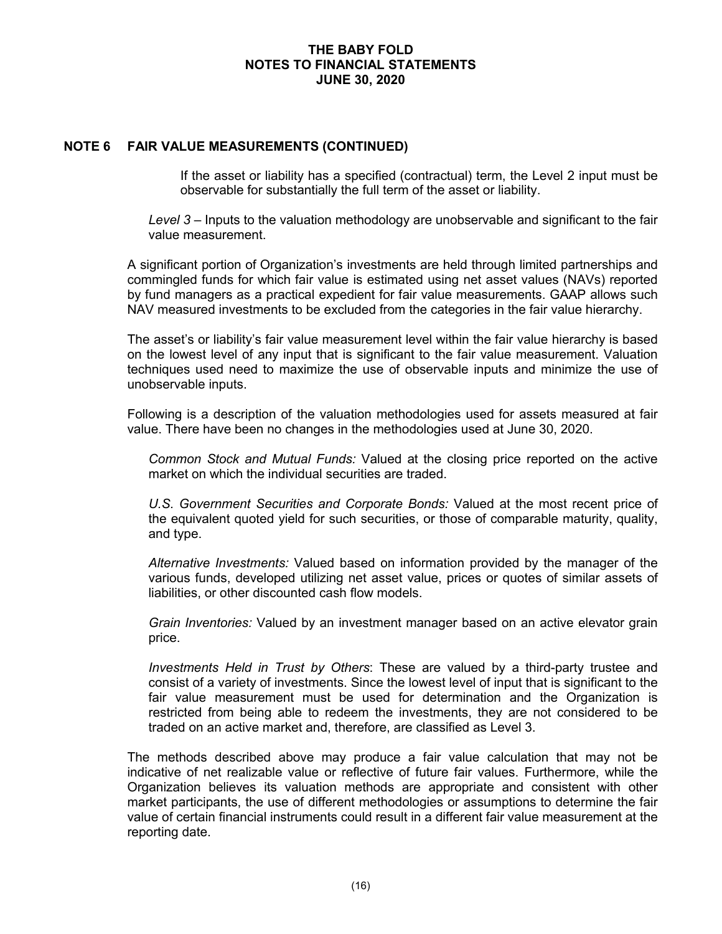## **NOTE 6 FAIR VALUE MEASUREMENTS (CONTINUED)**

If the asset or liability has a specified (contractual) term, the Level 2 input must be observable for substantially the full term of the asset or liability.

*Level 3 –* Inputs to the valuation methodology are unobservable and significant to the fair value measurement.

A significant portion of Organization's investments are held through limited partnerships and commingled funds for which fair value is estimated using net asset values (NAVs) reported by fund managers as a practical expedient for fair value measurements. GAAP allows such NAV measured investments to be excluded from the categories in the fair value hierarchy.

The asset's or liability's fair value measurement level within the fair value hierarchy is based on the lowest level of any input that is significant to the fair value measurement. Valuation techniques used need to maximize the use of observable inputs and minimize the use of unobservable inputs.

Following is a description of the valuation methodologies used for assets measured at fair value. There have been no changes in the methodologies used at June 30, 2020.

*Common Stock and Mutual Funds:* Valued at the closing price reported on the active market on which the individual securities are traded.

*U.S. Government Securities and Corporate Bonds:* Valued at the most recent price of the equivalent quoted yield for such securities, or those of comparable maturity, quality, and type.

*Alternative Investments:* Valued based on information provided by the manager of the various funds, developed utilizing net asset value, prices or quotes of similar assets of liabilities, or other discounted cash flow models.

*Grain Inventories:* Valued by an investment manager based on an active elevator grain price.

*Investments Held in Trust by Others*: These are valued by a third-party trustee and consist of a variety of investments. Since the lowest level of input that is significant to the fair value measurement must be used for determination and the Organization is restricted from being able to redeem the investments, they are not considered to be traded on an active market and, therefore, are classified as Level 3.

The methods described above may produce a fair value calculation that may not be indicative of net realizable value or reflective of future fair values. Furthermore, while the Organization believes its valuation methods are appropriate and consistent with other market participants, the use of different methodologies or assumptions to determine the fair value of certain financial instruments could result in a different fair value measurement at the reporting date.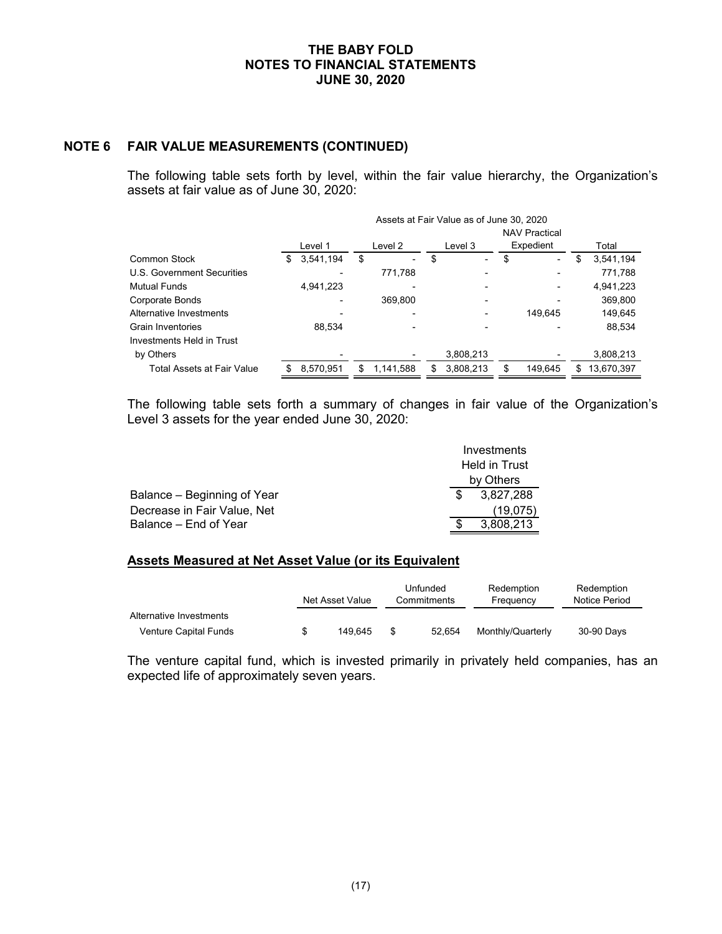# **NOTE 6 FAIR VALUE MEASUREMENTS (CONTINUED)**

The following table sets forth by level, within the fair value hierarchy, the Organization's assets at fair value as of June 30, 2020:

|                                   | Assets at Fair Value as of June 30, 2020 |           |    |                |    |           |    |                                   |   |            |
|-----------------------------------|------------------------------------------|-----------|----|----------------|----|-----------|----|-----------------------------------|---|------------|
|                                   |                                          | Level 1   |    | Level 2        |    | Level 3   |    | <b>NAV Practical</b><br>Expedient |   | Total      |
| <b>Common Stock</b>               | S                                        | 3,541,194 | \$ | $\blacksquare$ | \$ |           | \$ | $\overline{\phantom{0}}$          | S | 3,541,194  |
| U.S. Government Securities        |                                          |           |    | 771.788        |    |           |    |                                   |   | 771,788    |
| <b>Mutual Funds</b>               |                                          | 4,941,223 |    |                |    |           |    |                                   |   | 4,941,223  |
| Corporate Bonds                   |                                          |           |    | 369.800        |    |           |    |                                   |   | 369,800    |
| Alternative Investments           |                                          |           |    |                |    |           |    | 149.645                           |   | 149.645    |
| <b>Grain Inventories</b>          |                                          | 88.534    |    |                |    |           |    |                                   |   | 88,534     |
| Investments Held in Trust         |                                          |           |    |                |    |           |    |                                   |   |            |
| by Others                         |                                          |           |    |                |    | 3,808,213 |    |                                   |   | 3,808,213  |
| <b>Total Assets at Fair Value</b> |                                          | 8.570.951 | S  | 1,141,588      | S  | 3,808,213 |    | 149.645                           | S | 13.670.397 |

The following table sets forth a summary of changes in fair value of the Organization's Level 3 assets for the year ended June 30, 2020:

|                             | Investments   |
|-----------------------------|---------------|
|                             | Held in Trust |
|                             | by Others     |
| Balance – Beginning of Year | 3.827.288     |
| Decrease in Fair Value, Net | (19,075)      |
| Balance – End of Year       | 3.808.213     |

## **Assets Measured at Net Asset Value (or its Equivalent**

|                         | Unfunded<br>Net Asset Value<br>Commitments |      | Redemption<br>Frequency | Redemption<br>Notice Period |            |
|-------------------------|--------------------------------------------|------|-------------------------|-----------------------------|------------|
| Alternative Investments |                                            |      |                         |                             |            |
| Venture Capital Funds   | 149.645                                    | - \$ | 52.654                  | Monthly/Quarterly           | 30-90 Days |

The venture capital fund, which is invested primarily in privately held companies, has an expected life of approximately seven years.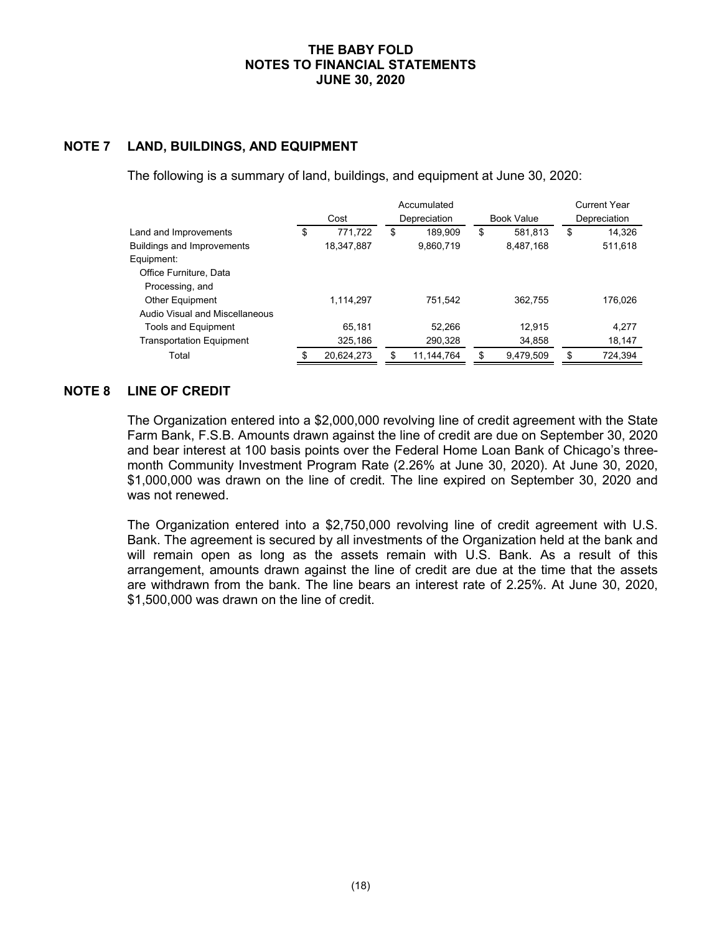# **NOTE 7 LAND, BUILDINGS, AND EQUIPMENT**

The following is a summary of land, buildings, and equipment at June 30, 2020:

|                                   |    |            |                    | <b>Current Year</b> |              |         |
|-----------------------------------|----|------------|--------------------|---------------------|--------------|---------|
|                                   |    | Cost       | Depreciation       | <b>Book Value</b>   | Depreciation |         |
| Land and Improvements             | \$ | 771,722    | \$<br>189.909      | \$<br>581.813       | \$           | 14,326  |
| <b>Buildings and Improvements</b> |    | 18,347,887 | 9,860,719          | 8,487,168           |              | 511,618 |
| Equipment:                        |    |            |                    |                     |              |         |
| Office Furniture, Data            |    |            |                    |                     |              |         |
| Processing, and                   |    |            |                    |                     |              |         |
| <b>Other Equipment</b>            |    | 1.114.297  | 751,542            | 362.755             |              | 176.026 |
| Audio Visual and Miscellaneous    |    |            |                    |                     |              |         |
| <b>Tools and Equipment</b>        |    | 65.181     | 52.266             | 12.915              |              | 4.277   |
| <b>Transportation Equipment</b>   |    | 325,186    | 290,328            | 34,858              |              | 18,147  |
| Total                             | \$ | 20.624.273 | \$<br>11, 144, 764 | \$<br>9.479.509     | \$           | 724.394 |

# **NOTE 8 LINE OF CREDIT**

The Organization entered into a \$2,000,000 revolving line of credit agreement with the State Farm Bank, F.S.B. Amounts drawn against the line of credit are due on September 30, 2020 and bear interest at 100 basis points over the Federal Home Loan Bank of Chicago's threemonth Community Investment Program Rate (2.26% at June 30, 2020). At June 30, 2020, \$1,000,000 was drawn on the line of credit. The line expired on September 30, 2020 and was not renewed.

The Organization entered into a \$2,750,000 revolving line of credit agreement with U.S. Bank. The agreement is secured by all investments of the Organization held at the bank and will remain open as long as the assets remain with U.S. Bank. As a result of this arrangement, amounts drawn against the line of credit are due at the time that the assets are withdrawn from the bank. The line bears an interest rate of 2.25%. At June 30, 2020, \$1,500,000 was drawn on the line of credit.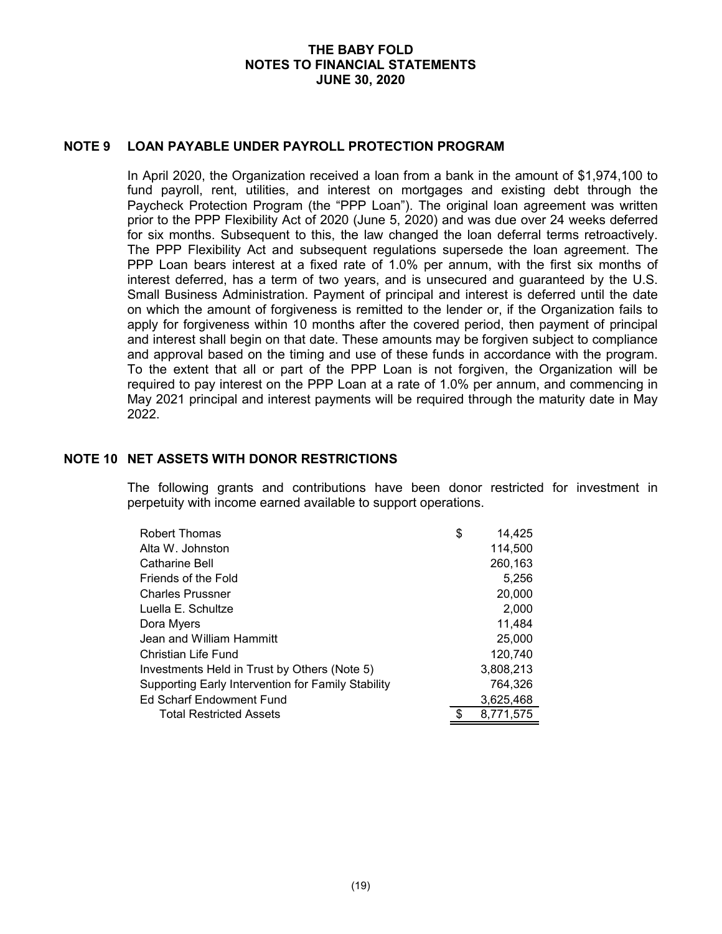# **NOTE 9 LOAN PAYABLE UNDER PAYROLL PROTECTION PROGRAM**

In April 2020, the Organization received a loan from a bank in the amount of \$1,974,100 to fund payroll, rent, utilities, and interest on mortgages and existing debt through the Paycheck Protection Program (the "PPP Loan"). The original loan agreement was written prior to the PPP Flexibility Act of 2020 (June 5, 2020) and was due over 24 weeks deferred for six months. Subsequent to this, the law changed the loan deferral terms retroactively. The PPP Flexibility Act and subsequent regulations supersede the loan agreement. The PPP Loan bears interest at a fixed rate of 1.0% per annum, with the first six months of interest deferred, has a term of two years, and is unsecured and guaranteed by the U.S. Small Business Administration. Payment of principal and interest is deferred until the date on which the amount of forgiveness is remitted to the lender or, if the Organization fails to apply for forgiveness within 10 months after the covered period, then payment of principal and interest shall begin on that date. These amounts may be forgiven subject to compliance and approval based on the timing and use of these funds in accordance with the program. To the extent that all or part of the PPP Loan is not forgiven, the Organization will be required to pay interest on the PPP Loan at a rate of 1.0% per annum, and commencing in May 2021 principal and interest payments will be required through the maturity date in May 2022.

#### **NOTE 10 NET ASSETS WITH DONOR RESTRICTIONS**

The following grants and contributions have been donor restricted for investment in perpetuity with income earned available to support operations.

| <b>Robert Thomas</b>                               | \$<br>14,425 |
|----------------------------------------------------|--------------|
| Alta W. Johnston                                   | 114,500      |
| <b>Catharine Bell</b>                              | 260,163      |
| Friends of the Fold                                | 5,256        |
| <b>Charles Prussner</b>                            | 20,000       |
| Luella E. Schultze                                 | 2,000        |
| Dora Myers                                         | 11,484       |
| Jean and William Hammitt                           | 25,000       |
| Christian Life Fund                                | 120,740      |
| Investments Held in Trust by Others (Note 5)       | 3,808,213    |
| Supporting Early Intervention for Family Stability | 764,326      |
| Ed Scharf Endowment Fund                           | 3,625,468    |
| Total Restricted Assets                            | 8,771,575    |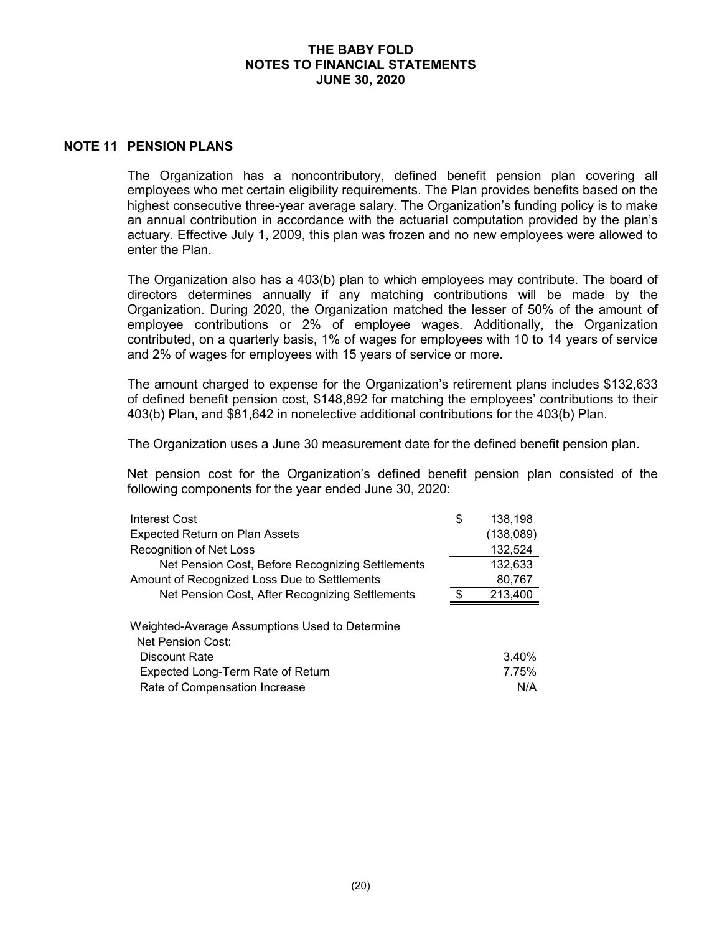# **NOTE 11 PENSION PLANS**

The Organization has a noncontributory, defined benefit pension plan covering all employees who met certain eligibility requirements. The Plan provides benefits based on the highest consecutive three-year average salary. The Organization's funding policy is to make an annual contribution in accordance with the actuarial computation provided by the plan's actuary. Effective July 1, 2009, this plan was frozen and no new employees were allowed to enter the Plan.

The Organization also has a 403(b) plan to which employees may contribute. The board of directors determines annually if any matching contributions will be made by the Organization. During 2020, the Organization matched the lesser of 50% of the amount of employee contributions or 2% of employee wages. Additionally, the Organization contributed, on a quarterly basis, 1% of wages for employees with 10 to 14 years of service and 2% of wages for employees with 15 years of service or more.

The amount charged to expense for the Organization's retirement plans includes \$132,633 of defined benefit pension cost, \$148,892 for matching the employees' contributions to their 403(b) Plan, and \$81,642 in nonelective additional contributions for the 403(b) Plan.

The Organization uses a June 30 measurement date for the defined benefit pension plan.

Net pension cost for the Organization's defined benefit pension plan consisted of the following components for the year ended June 30, 2020:

| Interest Cost                                    | \$ | 138,198   |
|--------------------------------------------------|----|-----------|
| <b>Expected Return on Plan Assets</b>            |    | (138,089) |
| Recognition of Net Loss                          |    | 132,524   |
| Net Pension Cost, Before Recognizing Settlements |    | 132,633   |
| Amount of Recognized Loss Due to Settlements     |    | 80,767    |
| Net Pension Cost, After Recognizing Settlements  | ደ  | 213,400   |
| Weighted-Average Assumptions Used to Determine   |    |           |
| Net Pension Cost:                                |    |           |
| Discount Rate                                    |    | 3.40%     |
| Expected Long-Term Rate of Return                |    | 7.75%     |
| Rate of Compensation Increase                    |    | N/A       |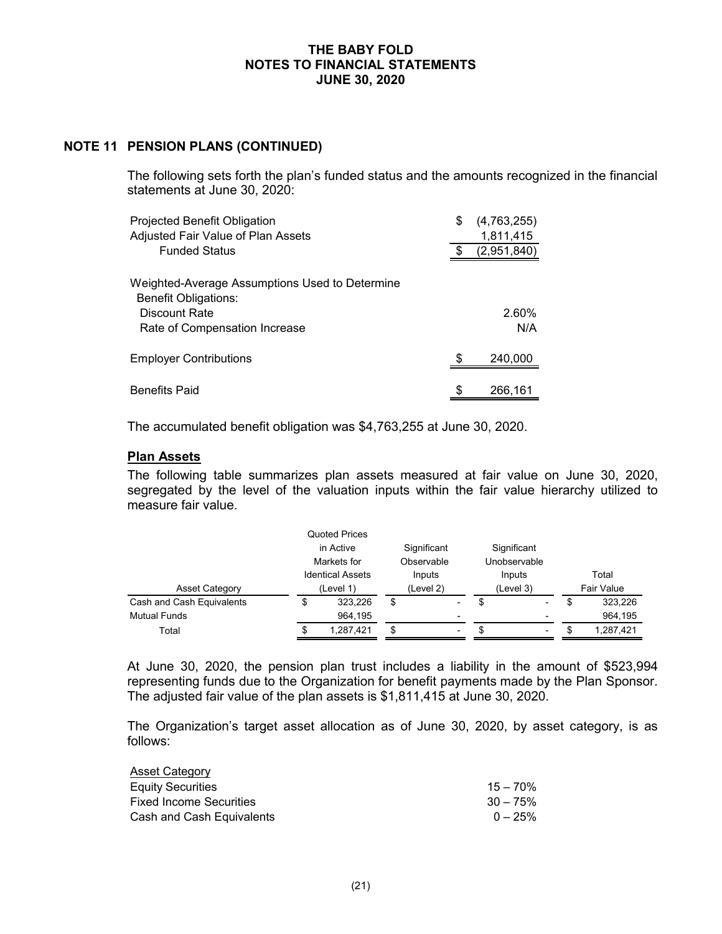## **NOTE 11 PENSION PLANS (CONTINUED)**

The following sets forth the plan's funded status and the amounts recognized in the financial statements at June 30, 2020:

| Projected Benefit Obligation                                                  | \$  | (4,763,255) |
|-------------------------------------------------------------------------------|-----|-------------|
| Adjusted Fair Value of Plan Assets                                            |     | 1,811,415   |
| <b>Funded Status</b>                                                          | \$. | (2,951,840) |
| Weighted-Average Assumptions Used to Determine<br><b>Benefit Obligations:</b> |     |             |
| Discount Rate                                                                 |     | 2.60%       |
| Rate of Compensation Increase                                                 |     | N/A         |
| <b>Employer Contributions</b>                                                 |     | 240,000     |
| <b>Benefits Paid</b>                                                          |     | 266,161     |
|                                                                               |     |             |

The accumulated benefit obligation was \$4,763,255 at June 30, 2020.

#### **Plan Assets**

The following table summarizes plan assets measured at fair value on June 30, 2020, segregated by the level of the valuation inputs within the fair value hierarchy utilized to measure fair value.

|                           | <b>Quoted Prices</b>    |    |             |              |     |                   |
|---------------------------|-------------------------|----|-------------|--------------|-----|-------------------|
|                           | in Active               |    | Significant | Significant  |     |                   |
|                           | Markets for             |    | Observable  | Unobservable |     |                   |
|                           | <b>Identical Assets</b> |    | Inputs      | Inputs       |     | Total             |
| <b>Asset Category</b>     | (Level 1)               |    | (Level 2)   | (Level 3)    |     | <b>Fair Value</b> |
| Cash and Cash Equivalents | \$<br>323,226           | \$ |             | \$<br>۰.     | \$  | 323,226           |
| <b>Mutual Funds</b>       | 964.195                 |    |             |              |     | 964,195           |
| Total                     | \$<br>1,287,421         | \$ | -           | \$<br>۰.     | \$. | 1,287,421         |

At June 30, 2020, the pension plan trust includes a liability in the amount of \$523,994 representing funds due to the Organization for benefit payments made by the Plan Sponsor. The adjusted fair value of the plan assets is \$1,811,415 at June 30, 2020.

The Organization's target asset allocation as of June 30, 2020, by asset category, is as follows:

| <b>Asset Category</b>          |             |
|--------------------------------|-------------|
| <b>Equity Securities</b>       | $15 - 70\%$ |
| <b>Fixed Income Securities</b> | $30 - 75\%$ |
| Cash and Cash Equivalents      | $0 - 25\%$  |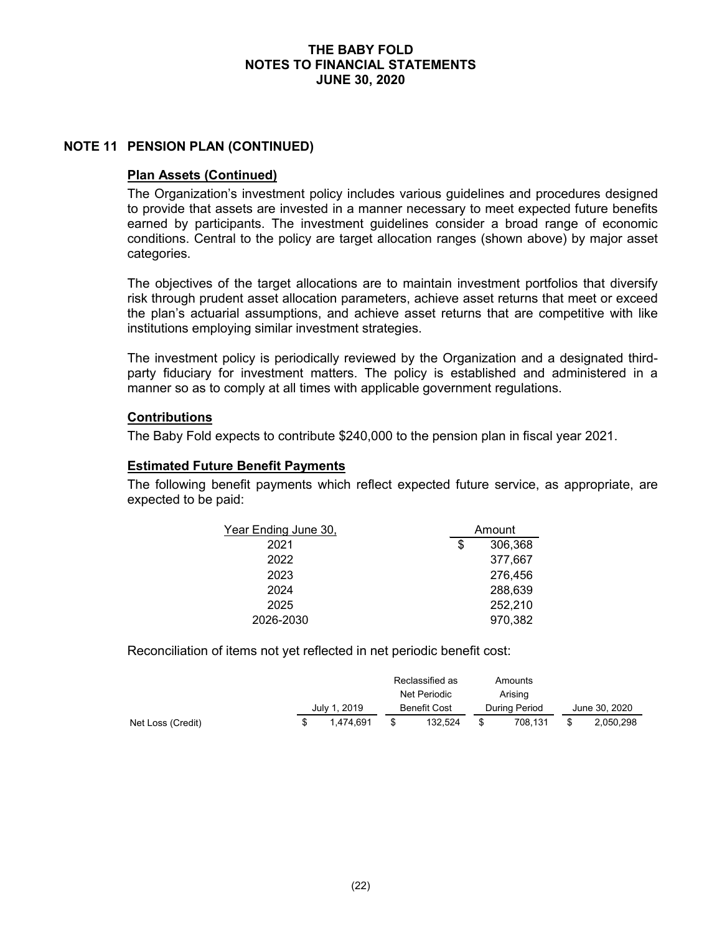# **NOTE 11 PENSION PLAN (CONTINUED)**

#### **Plan Assets (Continued)**

The Organization's investment policy includes various guidelines and procedures designed to provide that assets are invested in a manner necessary to meet expected future benefits earned by participants. The investment guidelines consider a broad range of economic conditions. Central to the policy are target allocation ranges (shown above) by major asset categories.

The objectives of the target allocations are to maintain investment portfolios that diversify risk through prudent asset allocation parameters, achieve asset returns that meet or exceed the plan's actuarial assumptions, and achieve asset returns that are competitive with like institutions employing similar investment strategies.

The investment policy is periodically reviewed by the Organization and a designated thirdparty fiduciary for investment matters. The policy is established and administered in a manner so as to comply at all times with applicable government regulations.

## **Contributions**

The Baby Fold expects to contribute \$240,000 to the pension plan in fiscal year 2021.

## **Estimated Future Benefit Payments**

The following benefit payments which reflect expected future service, as appropriate, are expected to be paid:

| Year Ending June 30, | Amount |         |  |
|----------------------|--------|---------|--|
| 2021                 | \$     | 306,368 |  |
| 2022                 |        | 377,667 |  |
| 2023                 |        | 276,456 |  |
| 2024                 |        | 288,639 |  |
| 2025                 |        | 252,210 |  |
| 2026-2030            |        | 970,382 |  |

Reconciliation of items not yet reflected in net periodic benefit cost:

|                   |              |              |              | Reclassified as |               | Amounts |               |
|-------------------|--------------|--------------|--------------|-----------------|---------------|---------|---------------|
|                   |              | Net Periodic |              |                 |               | Arising |               |
|                   | July 1, 2019 |              | Benefit Cost |                 | During Period |         | June 30, 2020 |
| Net Loss (Credit) |              | 1.474.691    |              | 132.524         |               | 708.131 | 2.050.298     |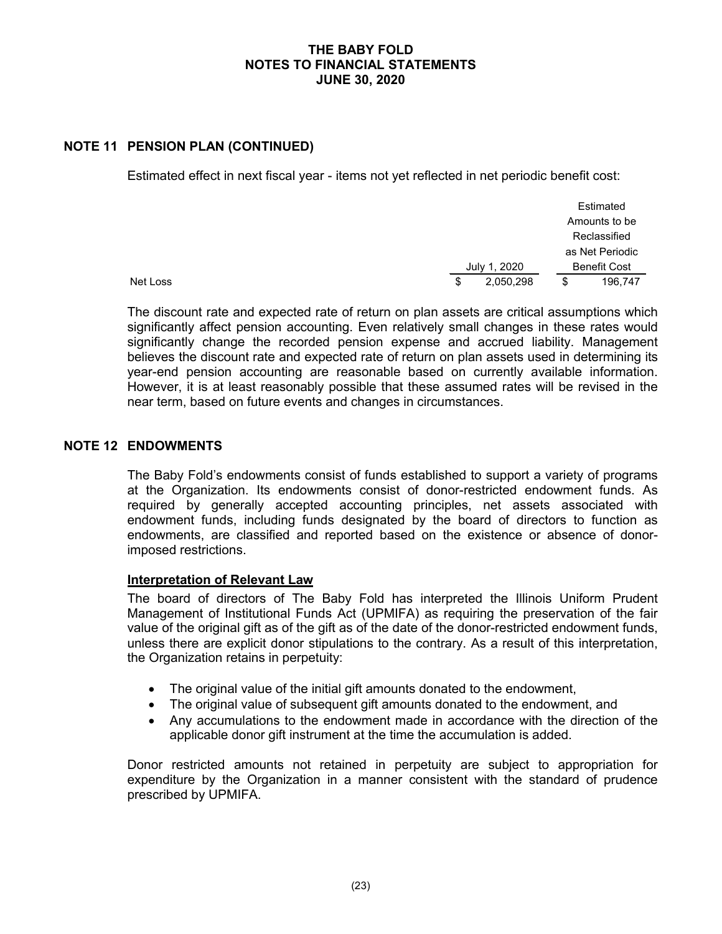# **NOTE 11 PENSION PLAN (CONTINUED)**

Estimated effect in next fiscal year - items not yet reflected in net periodic benefit cost:

|          |    |              | Estimated           |
|----------|----|--------------|---------------------|
|          |    |              | Amounts to be       |
|          |    |              | Reclassified        |
|          |    |              | as Net Periodic     |
|          |    | July 1, 2020 | <b>Benefit Cost</b> |
| Net Loss | \$ | 2,050,298    | \$<br>196,747       |

The discount rate and expected rate of return on plan assets are critical assumptions which significantly affect pension accounting. Even relatively small changes in these rates would significantly change the recorded pension expense and accrued liability. Management believes the discount rate and expected rate of return on plan assets used in determining its year-end pension accounting are reasonable based on currently available information. However, it is at least reasonably possible that these assumed rates will be revised in the near term, based on future events and changes in circumstances.

# **NOTE 12 ENDOWMENTS**

The Baby Fold's endowments consist of funds established to support a variety of programs at the Organization. Its endowments consist of donor-restricted endowment funds. As required by generally accepted accounting principles, net assets associated with endowment funds, including funds designated by the board of directors to function as endowments, are classified and reported based on the existence or absence of donorimposed restrictions.

#### **Interpretation of Relevant Law**

The board of directors of The Baby Fold has interpreted the Illinois Uniform Prudent Management of Institutional Funds Act (UPMIFA) as requiring the preservation of the fair value of the original gift as of the gift as of the date of the donor-restricted endowment funds, unless there are explicit donor stipulations to the contrary. As a result of this interpretation, the Organization retains in perpetuity:

- The original value of the initial gift amounts donated to the endowment,
- The original value of subsequent gift amounts donated to the endowment, and
- Any accumulations to the endowment made in accordance with the direction of the applicable donor gift instrument at the time the accumulation is added.

Donor restricted amounts not retained in perpetuity are subject to appropriation for expenditure by the Organization in a manner consistent with the standard of prudence prescribed by UPMIFA.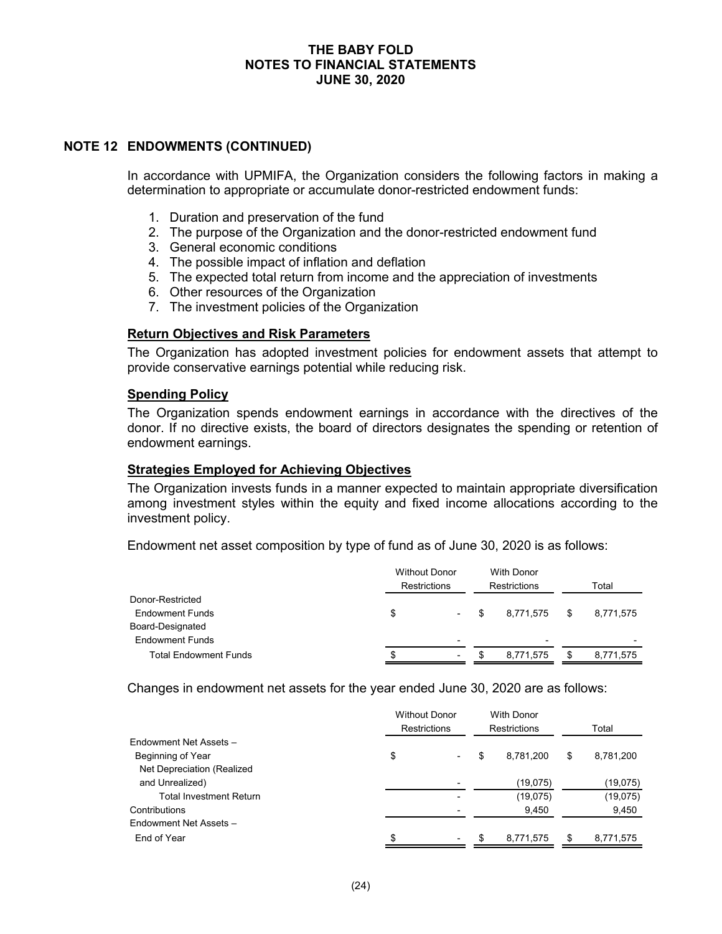# **NOTE 12 ENDOWMENTS (CONTINUED)**

In accordance with UPMIFA, the Organization considers the following factors in making a determination to appropriate or accumulate donor-restricted endowment funds:

- 1. Duration and preservation of the fund
- 2. The purpose of the Organization and the donor-restricted endowment fund
- 3. General economic conditions
- 4. The possible impact of inflation and deflation
- 5. The expected total return from income and the appreciation of investments
- 6. Other resources of the Organization
- 7. The investment policies of the Organization

## **Return Objectives and Risk Parameters**

The Organization has adopted investment policies for endowment assets that attempt to provide conservative earnings potential while reducing risk.

#### **Spending Policy**

The Organization spends endowment earnings in accordance with the directives of the donor. If no directive exists, the board of directors designates the spending or retention of endowment earnings.

# **Strategies Employed for Achieving Objectives**

The Organization invests funds in a manner expected to maintain appropriate diversification among investment styles within the equity and fixed income allocations according to the investment policy.

Endowment net asset composition by type of fund as of June 30, 2020 is as follows:

|                              | <b>Without Donor</b> |        |   | With Donor               |    |           |
|------------------------------|----------------------|--------|---|--------------------------|----|-----------|
|                              | Restrictions         |        |   | Restrictions             |    | Total     |
| Donor-Restricted             |                      |        |   |                          |    |           |
| <b>Endowment Funds</b>       | \$                   | $\sim$ | S | 8.771.575                | \$ | 8,771,575 |
| Board-Designated             |                      |        |   |                          |    |           |
| <b>Endowment Funds</b>       |                      |        |   | $\overline{\phantom{0}}$ |    |           |
| <b>Total Endowment Funds</b> | \$<br>۰              |        |   | 8.771.575                | S  | 8,771,575 |

Changes in endowment net assets for the year ended June 30, 2020 are as follows:

|                                | <b>Without Donor</b><br><b>With Donor</b><br><b>Restrictions</b><br><b>Restrictions</b> |     |           |    |           |
|--------------------------------|-----------------------------------------------------------------------------------------|-----|-----------|----|-----------|
| Endowment Net Assets -         |                                                                                         |     |           |    |           |
| Beginning of Year              | \$                                                                                      | S   | 8,781,200 | \$ | 8,781,200 |
| Net Depreciation (Realized     |                                                                                         |     |           |    |           |
| and Unrealized)                |                                                                                         |     | (19,075)  |    | (19,075)  |
| <b>Total Investment Return</b> |                                                                                         |     | (19,075)  |    | (19,075)  |
| Contributions                  |                                                                                         |     | 9,450     |    | 9,450     |
| <b>Fndowment Net Assets -</b>  |                                                                                         |     |           |    |           |
| End of Year                    | \$<br>$\overline{\phantom{a}}$                                                          | \$. | 8,771,575 | \$ | 8,771,575 |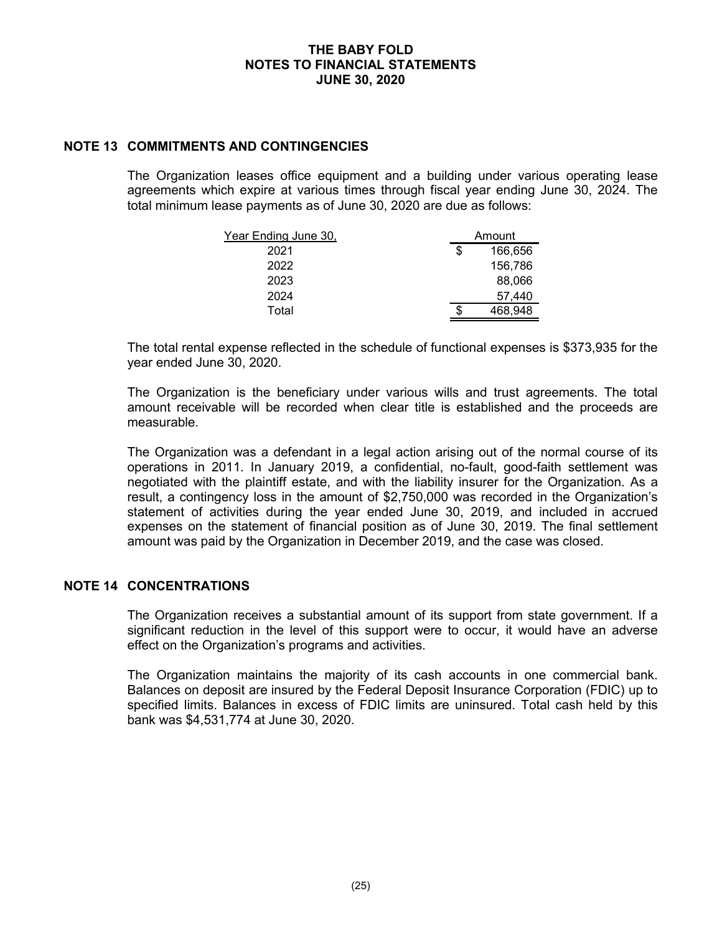# **NOTE 13 COMMITMENTS AND CONTINGENCIES**

The Organization leases office equipment and a building under various operating lease agreements which expire at various times through fiscal year ending June 30, 2024. The total minimum lease payments as of June 30, 2020 are due as follows:

| Year Ending June 30, | Amount        |
|----------------------|---------------|
| 2021                 | \$<br>166,656 |
| 2022                 | 156,786       |
| 2023                 | 88,066        |
| 2024                 | 57,440        |
| Total                | 468.948       |

The total rental expense reflected in the schedule of functional expenses is \$373,935 for the year ended June 30, 2020.

The Organization is the beneficiary under various wills and trust agreements. The total amount receivable will be recorded when clear title is established and the proceeds are measurable.

The Organization was a defendant in a legal action arising out of the normal course of its operations in 2011. In January 2019, a confidential, no-fault, good-faith settlement was negotiated with the plaintiff estate, and with the liability insurer for the Organization. As a result, a contingency loss in the amount of \$2,750,000 was recorded in the Organization's statement of activities during the year ended June 30, 2019, and included in accrued expenses on the statement of financial position as of June 30, 2019. The final settlement amount was paid by the Organization in December 2019, and the case was closed.

#### **NOTE 14 CONCENTRATIONS**

The Organization receives a substantial amount of its support from state government. If a significant reduction in the level of this support were to occur, it would have an adverse effect on the Organization's programs and activities.

The Organization maintains the majority of its cash accounts in one commercial bank. Balances on deposit are insured by the Federal Deposit Insurance Corporation (FDIC) up to specified limits. Balances in excess of FDIC limits are uninsured. Total cash held by this bank was \$4,531,774 at June 30, 2020.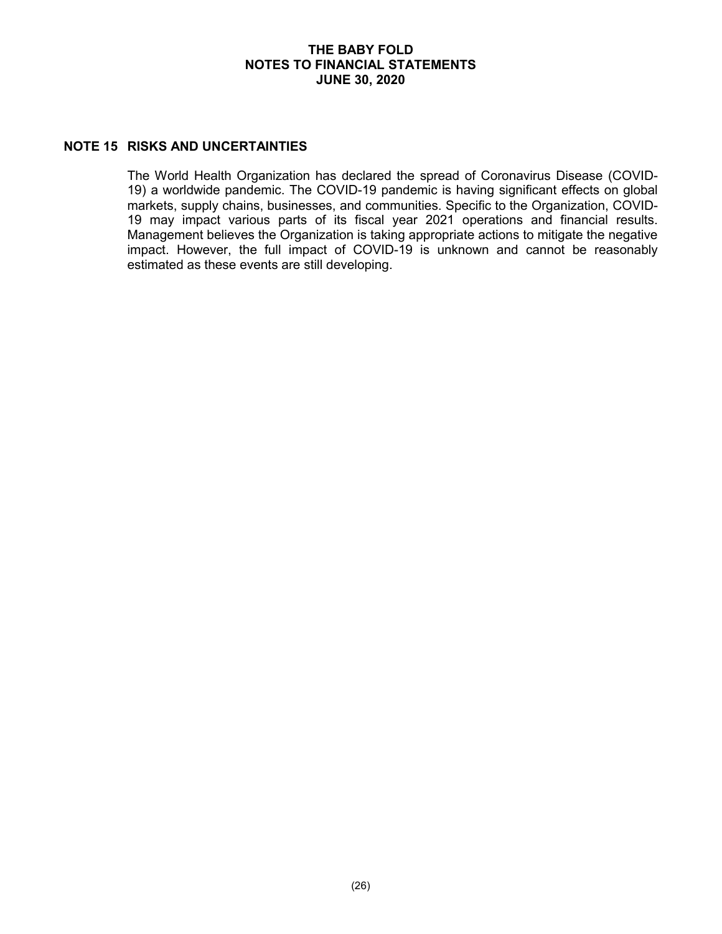# **NOTE 15 RISKS AND UNCERTAINTIES**

The World Health Organization has declared the spread of Coronavirus Disease (COVID-19) a worldwide pandemic. The COVID-19 pandemic is having significant effects on global markets, supply chains, businesses, and communities. Specific to the Organization, COVID-19 may impact various parts of its fiscal year 2021 operations and financial results. Management believes the Organization is taking appropriate actions to mitigate the negative impact. However, the full impact of COVID-19 is unknown and cannot be reasonably estimated as these events are still developing.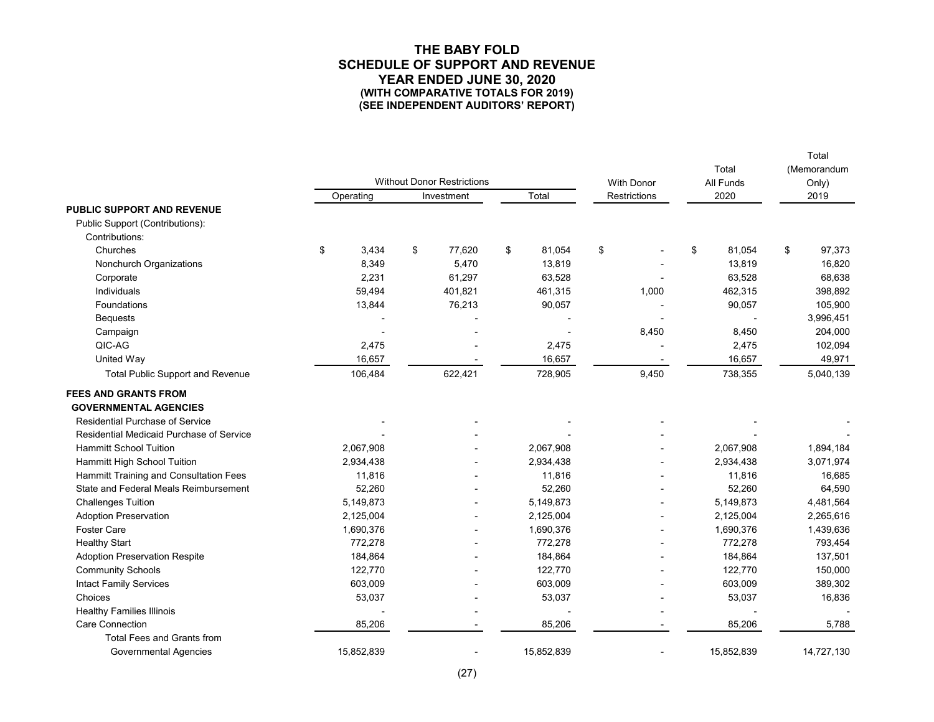#### **THE BABY FOLD SCHEDULE OF SUPPORT AND REVENUE YEAR ENDED JUNE 30, 2020 (WITH COMPARATIVE TOTALS FOR 2019) (SEE INDEPENDENT AUDITORS' REPORT)**

|                                          |             |                                   |              |                     |                   |                    | Total                |
|------------------------------------------|-------------|-----------------------------------|--------------|---------------------|-------------------|--------------------|----------------------|
|                                          |             | <b>Without Donor Restrictions</b> |              |                     | <b>With Donor</b> | Total<br>All Funds | (Memorandum<br>Only) |
|                                          | Operating   | Investment                        | Total        | <b>Restrictions</b> |                   | 2020               | 2019                 |
| <b>PUBLIC SUPPORT AND REVENUE</b>        |             |                                   |              |                     |                   |                    |                      |
| Public Support (Contributions):          |             |                                   |              |                     |                   |                    |                      |
| Contributions:                           |             |                                   |              |                     |                   |                    |                      |
| Churches                                 | \$<br>3,434 | \$<br>77,620                      | \$<br>81,054 | \$                  |                   | \$<br>81,054       | \$<br>97,373         |
| Nonchurch Organizations                  | 8,349       | 5,470                             | 13,819       |                     |                   | 13,819             | 16,820               |
| Corporate                                | 2,231       | 61,297                            | 63,528       |                     |                   | 63,528             | 68,638               |
| Individuals                              | 59,494      | 401,821                           | 461,315      |                     | 1,000             | 462,315            | 398,892              |
| Foundations                              | 13,844      | 76,213                            | 90,057       |                     |                   | 90,057             | 105,900              |
| <b>Bequests</b>                          |             |                                   |              |                     |                   |                    | 3,996,451            |
| Campaign                                 |             |                                   |              |                     | 8,450             | 8,450              | 204,000              |
| QIC-AG                                   | 2,475       |                                   | 2,475        |                     |                   | 2,475              | 102,094              |
| United Way                               | 16,657      |                                   | 16,657       |                     |                   | 16,657             | 49,971               |
| <b>Total Public Support and Revenue</b>  | 106,484     | 622,421                           | 728,905      |                     | 9,450             | 738,355            | 5,040,139            |
| <b>FEES AND GRANTS FROM</b>              |             |                                   |              |                     |                   |                    |                      |
| <b>GOVERNMENTAL AGENCIES</b>             |             |                                   |              |                     |                   |                    |                      |
| <b>Residential Purchase of Service</b>   |             |                                   |              |                     |                   |                    |                      |
| Residential Medicaid Purchase of Service |             |                                   |              |                     |                   |                    |                      |
| <b>Hammitt School Tuition</b>            | 2,067,908   |                                   | 2,067,908    |                     |                   | 2,067,908          | 1,894,184            |
| Hammitt High School Tuition              | 2,934,438   | L.                                | 2,934,438    |                     |                   | 2,934,438          | 3,071,974            |
| Hammitt Training and Consultation Fees   | 11,816      |                                   | 11,816       |                     |                   | 11,816             | 16,685               |
| State and Federal Meals Reimbursement    | 52,260      |                                   | 52,260       |                     |                   | 52,260             | 64,590               |
| <b>Challenges Tuition</b>                | 5,149,873   |                                   | 5,149,873    |                     |                   | 5,149,873          | 4,481,564            |
| <b>Adoption Preservation</b>             | 2,125,004   | L,                                | 2,125,004    |                     |                   | 2,125,004          | 2,265,616            |
| <b>Foster Care</b>                       | 1,690,376   | $\overline{a}$                    | 1,690,376    |                     |                   | 1,690,376          | 1,439,636            |
| <b>Healthy Start</b>                     | 772,278     |                                   | 772,278      |                     |                   | 772,278            | 793,454              |
| <b>Adoption Preservation Respite</b>     | 184,864     |                                   | 184,864      |                     |                   | 184,864            | 137,501              |
| <b>Community Schools</b>                 | 122,770     |                                   | 122,770      |                     |                   | 122,770            | 150,000              |
| <b>Intact Family Services</b>            | 603,009     |                                   | 603,009      |                     |                   | 603,009            | 389,302              |
| Choices                                  | 53,037      |                                   | 53,037       |                     |                   | 53,037             | 16,836               |
| <b>Healthy Families Illinois</b>         |             |                                   |              |                     |                   |                    |                      |
| <b>Care Connection</b>                   | 85,206      |                                   | 85,206       |                     |                   | 85,206             | 5,788                |
| <b>Total Fees and Grants from</b>        |             |                                   |              |                     |                   |                    |                      |
| <b>Governmental Agencies</b>             | 15,852,839  |                                   | 15,852,839   |                     |                   | 15,852,839         | 14,727,130           |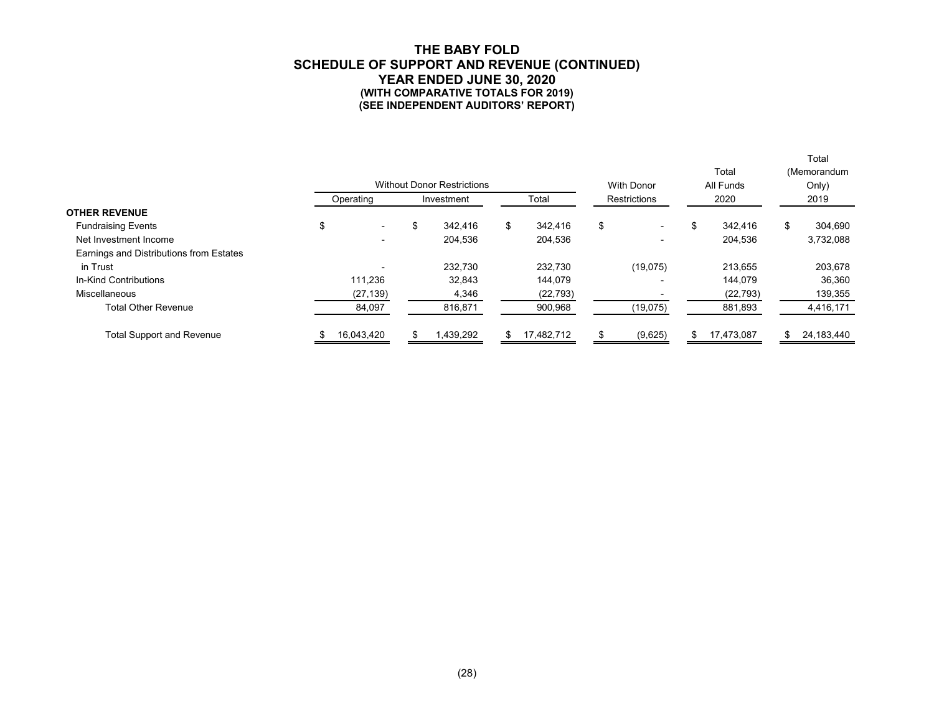#### **THE BABY FOLD SCHEDULE OF SUPPORT AND REVENUE (CONTINUED) YEAR ENDED JUNE 30, 2020 (WITH COMPARATIVE TOTALS FOR 2019) (SEE INDEPENDENT AUDITORS' REPORT)**

Total

|                                         | <b>Without Donor Restrictions</b> |                     |           |              |            |      | <b>With Donor</b>        |      | Total<br>All Funds |    | (Memorandum<br>Only) |
|-----------------------------------------|-----------------------------------|---------------------|-----------|--------------|------------|------|--------------------------|------|--------------------|----|----------------------|
|                                         | Operating                         | Total<br>Investment |           | Restrictions |            | 2020 |                          | 2019 |                    |    |                      |
| <b>OTHER REVENUE</b>                    |                                   |                     |           |              |            |      |                          |      |                    |    |                      |
| <b>Fundraising Events</b>               | \$<br>$\overline{\phantom{0}}$    | \$                  | 342.416   | \$           | 342.416    | \$   | $\blacksquare$           | \$   | 342.416            | \$ | 304.690              |
| Net Investment Income                   | $\overline{\phantom{0}}$          |                     | 204,536   |              | 204,536    |      | $\overline{\phantom{0}}$ |      | 204,536            |    | 3,732,088            |
| Earnings and Distributions from Estates |                                   |                     |           |              |            |      |                          |      |                    |    |                      |
| in Trust                                | $\overline{\phantom{0}}$          |                     | 232.730   |              | 232,730    |      | (19,075)                 |      | 213.655            |    | 203,678              |
| In-Kind Contributions                   | 111,236                           |                     | 32,843    |              | 144,079    |      | $\overline{\phantom{0}}$ |      | 144.079            |    | 36,360               |
| Miscellaneous                           | (27, 139)                         |                     | 4,346     |              | (22, 793)  |      |                          |      | (22, 793)          |    | 139,355              |
| <b>Total Other Revenue</b>              | 84,097                            |                     | 816,871   |              | 900,968    |      | (19,075)                 |      | 881,893            |    | 4,416,171            |
| <b>Total Support and Revenue</b>        | 16.043.420                        |                     | 1,439,292 | \$           | 17,482,712 |      | (9,625)                  | \$   | 17,473,087         |    | 24,183,440           |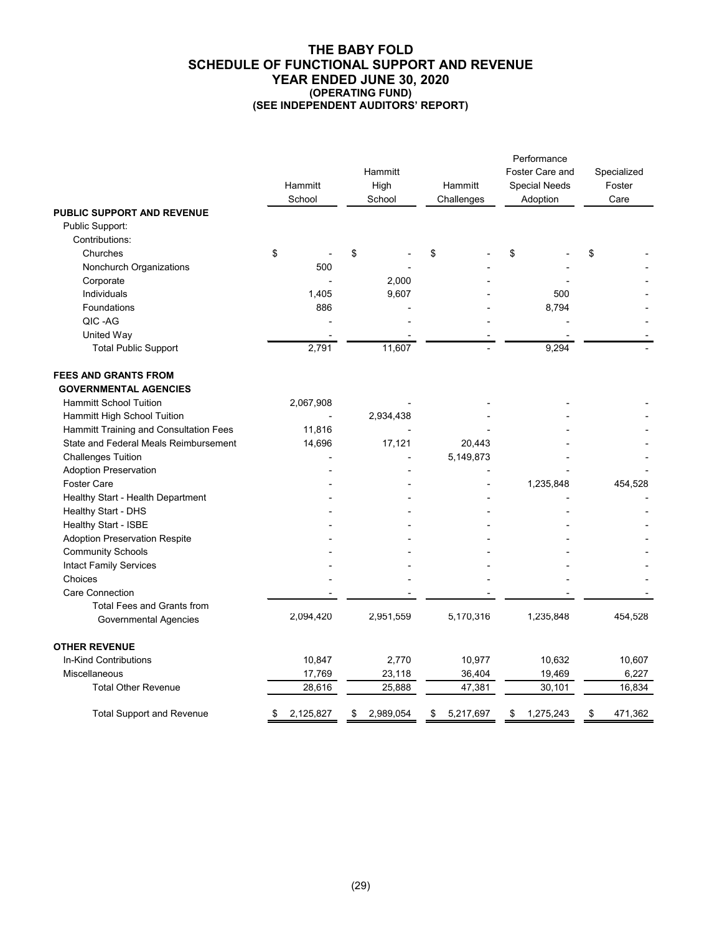#### **THE BABY FOLD SCHEDULE OF FUNCTIONAL SUPPORT AND REVENUE YEAR ENDED JUNE 30, 2020 (OPERATING FUND) (SEE INDEPENDENT AUDITORS' REPORT)**

|                                                             | Hammitt<br>School | Hammitt<br>High<br>School | Hammitt<br>Challenges | Performance<br>Foster Care and<br><b>Special Needs</b><br>Adoption | Specialized<br>Foster<br>Care |
|-------------------------------------------------------------|-------------------|---------------------------|-----------------------|--------------------------------------------------------------------|-------------------------------|
| PUBLIC SUPPORT AND REVENUE                                  |                   |                           |                       |                                                                    |                               |
| Public Support:                                             |                   |                           |                       |                                                                    |                               |
| Contributions:                                              |                   |                           |                       |                                                                    |                               |
| Churches                                                    | \$                | \$                        | \$                    | \$                                                                 | \$                            |
| Nonchurch Organizations                                     | 500               |                           |                       |                                                                    |                               |
| Corporate                                                   |                   | 2,000                     |                       |                                                                    |                               |
| Individuals                                                 | 1,405             | 9,607                     |                       | 500                                                                |                               |
| Foundations                                                 | 886               |                           |                       | 8,794                                                              |                               |
| QIC-AG                                                      |                   |                           |                       |                                                                    |                               |
| United Way                                                  |                   |                           |                       |                                                                    |                               |
| <b>Total Public Support</b>                                 | 2,791             | 11,607                    |                       | 9,294                                                              |                               |
| <b>FEES AND GRANTS FROM</b><br><b>GOVERNMENTAL AGENCIES</b> |                   |                           |                       |                                                                    |                               |
| <b>Hammitt School Tuition</b>                               | 2,067,908         |                           |                       |                                                                    |                               |
| Hammitt High School Tuition                                 |                   | 2,934,438                 |                       |                                                                    |                               |
| Hammitt Training and Consultation Fees                      | 11,816            |                           |                       |                                                                    |                               |
| State and Federal Meals Reimbursement                       | 14,696            | 17,121                    | 20,443                |                                                                    |                               |
| <b>Challenges Tuition</b>                                   |                   |                           | 5,149,873             |                                                                    |                               |
| <b>Adoption Preservation</b>                                |                   |                           |                       |                                                                    |                               |
| <b>Foster Care</b>                                          |                   |                           |                       | 1,235,848                                                          | 454,528                       |
| Healthy Start - Health Department                           |                   |                           |                       |                                                                    |                               |
| Healthy Start - DHS                                         |                   |                           |                       |                                                                    |                               |
| Healthy Start - ISBE                                        |                   |                           |                       |                                                                    |                               |
| <b>Adoption Preservation Respite</b>                        |                   |                           |                       |                                                                    |                               |
| <b>Community Schools</b>                                    |                   |                           |                       |                                                                    |                               |
| <b>Intact Family Services</b>                               |                   |                           |                       |                                                                    |                               |
| Choices                                                     |                   |                           |                       |                                                                    |                               |
| <b>Care Connection</b>                                      |                   |                           |                       |                                                                    |                               |
| <b>Total Fees and Grants from</b>                           |                   |                           |                       |                                                                    |                               |
| <b>Governmental Agencies</b>                                | 2,094,420         | 2,951,559                 | 5,170,316             | 1,235,848                                                          | 454,528                       |
| <b>OTHER REVENUE</b>                                        |                   |                           |                       |                                                                    |                               |
| In-Kind Contributions                                       | 10,847            | 2,770                     | 10,977                | 10,632                                                             | 10,607                        |
| Miscellaneous                                               | 17,769            | 23,118                    | 36,404                | 19,469                                                             | 6,227                         |
| <b>Total Other Revenue</b>                                  | 28,616            | 25,888                    | 47,381                | 30,101                                                             | 16,834                        |
| <b>Total Support and Revenue</b>                            | 2,125,827<br>\$   | 2,989,054<br>\$           | 5,217,697<br>\$       | 1,275,243<br>\$                                                    | \$<br>471,362                 |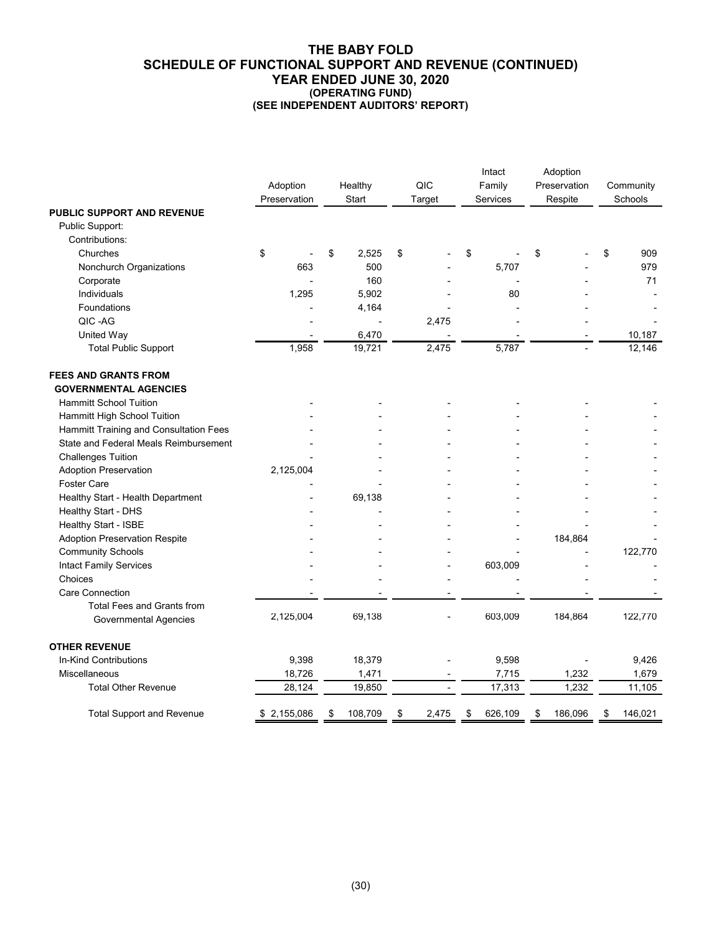#### **THE BABY FOLD SCHEDULE OF FUNCTIONAL SUPPORT AND REVENUE (CONTINUED) YEAR ENDED JUNE 30, 2020 (OPERATING FUND) (SEE INDEPENDENT AUDITORS' REPORT)**

|                                                             | Adoption<br>Preservation | Healthy<br>Start | QIC<br>Target | Intact<br>Family<br>Services |    | Adoption<br>Preservation<br>Respite | Community<br>Schools |
|-------------------------------------------------------------|--------------------------|------------------|---------------|------------------------------|----|-------------------------------------|----------------------|
| <b>PUBLIC SUPPORT AND REVENUE</b>                           |                          |                  |               |                              |    |                                     |                      |
| Public Support:                                             |                          |                  |               |                              |    |                                     |                      |
| Contributions:                                              |                          |                  |               |                              |    |                                     |                      |
| Churches                                                    | \$                       | \$<br>2,525      | \$            | \$                           | \$ |                                     | \$<br>909            |
| Nonchurch Organizations                                     | 663                      | 500              |               | 5,707                        |    |                                     | 979                  |
| Corporate                                                   |                          | 160              |               |                              |    |                                     | 71                   |
| Individuals                                                 | 1,295                    | 5,902            |               | 80                           |    |                                     |                      |
| Foundations                                                 |                          | 4,164            |               |                              |    |                                     |                      |
| QIC-AG                                                      |                          |                  | 2,475         |                              |    |                                     |                      |
| United Way                                                  |                          | 6,470            |               |                              |    |                                     | 10,187               |
| <b>Total Public Support</b>                                 | 1,958                    | 19,721           | 2,475         | 5,787                        |    |                                     | 12,146               |
| <b>FEES AND GRANTS FROM</b><br><b>GOVERNMENTAL AGENCIES</b> |                          |                  |               |                              |    |                                     |                      |
| <b>Hammitt School Tuition</b>                               |                          |                  |               |                              |    |                                     |                      |
| Hammitt High School Tuition                                 |                          |                  |               |                              |    |                                     |                      |
| Hammitt Training and Consultation Fees                      |                          |                  |               |                              |    |                                     |                      |
| State and Federal Meals Reimbursement                       |                          |                  |               |                              |    |                                     |                      |
| <b>Challenges Tuition</b>                                   |                          |                  |               |                              |    |                                     |                      |
| <b>Adoption Preservation</b>                                | 2,125,004                |                  |               |                              |    |                                     |                      |
| Foster Care                                                 |                          |                  |               |                              |    |                                     |                      |
| Healthy Start - Health Department                           |                          | 69,138           |               |                              |    |                                     |                      |
| Healthy Start - DHS                                         |                          |                  |               |                              |    |                                     |                      |
| Healthy Start - ISBE                                        |                          |                  |               |                              |    |                                     |                      |
| <b>Adoption Preservation Respite</b>                        |                          |                  |               |                              |    | 184,864                             |                      |
| <b>Community Schools</b>                                    |                          |                  |               |                              |    |                                     | 122,770              |
| <b>Intact Family Services</b>                               |                          |                  |               | 603,009                      |    |                                     |                      |
| Choices                                                     |                          |                  |               |                              |    |                                     |                      |
| <b>Care Connection</b>                                      |                          |                  |               |                              |    |                                     |                      |
| <b>Total Fees and Grants from</b>                           |                          |                  |               |                              |    |                                     |                      |
| <b>Governmental Agencies</b>                                | 2,125,004                | 69,138           |               | 603,009                      |    | 184,864                             | 122,770              |
| <b>OTHER REVENUE</b>                                        |                          |                  |               |                              |    |                                     |                      |
| In-Kind Contributions                                       | 9,398                    | 18,379           |               | 9,598                        |    |                                     | 9,426                |
| Miscellaneous                                               | 18,726                   | 1,471            |               | 7,715                        |    | 1,232                               | 1,679                |
| <b>Total Other Revenue</b>                                  | 28,124                   | 19,850           |               | 17,313                       |    | 1,232                               | 11,105               |
| <b>Total Support and Revenue</b>                            | \$2,155,086              | \$<br>108,709    | \$<br>2,475   | \$<br>626,109                | \$ | 186,096                             | \$<br>146,021        |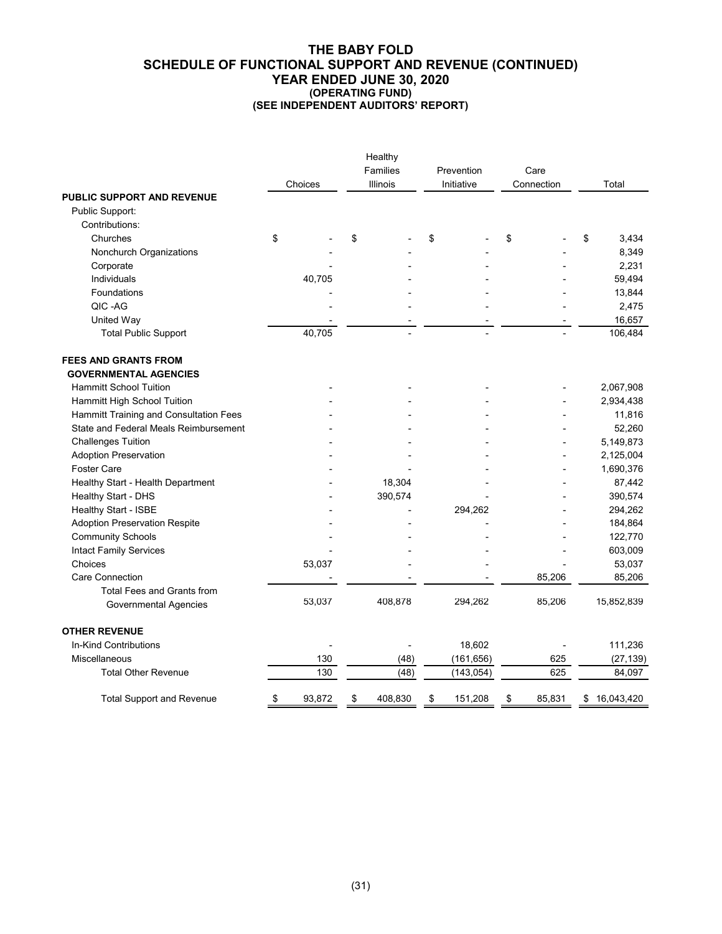#### **THE BABY FOLD SCHEDULE OF FUNCTIONAL SUPPORT AND REVENUE (CONTINUED) YEAR ENDED JUNE 30, 2020 (OPERATING FUND) (SEE INDEPENDENT AUDITORS' REPORT)**

|                                        | Healthy |         |    |          |    |            |    |            |    |            |  |
|----------------------------------------|---------|---------|----|----------|----|------------|----|------------|----|------------|--|
|                                        |         |         |    | Families |    | Prevention |    | Care       |    |            |  |
|                                        |         | Choices |    | Illinois |    | Initiative |    | Connection |    | Total      |  |
| <b>PUBLIC SUPPORT AND REVENUE</b>      |         |         |    |          |    |            |    |            |    |            |  |
| Public Support:                        |         |         |    |          |    |            |    |            |    |            |  |
| Contributions:                         |         |         |    |          |    |            |    |            |    |            |  |
| Churches                               | \$      |         | \$ |          | \$ |            | \$ |            | \$ | 3,434      |  |
| Nonchurch Organizations                |         |         |    |          |    |            |    |            |    | 8,349      |  |
| Corporate                              |         |         |    |          |    |            |    |            |    | 2,231      |  |
| Individuals                            |         | 40,705  |    |          |    |            |    |            |    | 59,494     |  |
| Foundations                            |         |         |    |          |    |            |    |            |    | 13,844     |  |
| QIC-AG                                 |         |         |    |          |    |            |    |            |    | 2,475      |  |
| United Way                             |         |         |    |          |    |            |    |            |    | 16,657     |  |
| <b>Total Public Support</b>            |         | 40,705  |    |          |    |            |    |            |    | 106,484    |  |
| <b>FEES AND GRANTS FROM</b>            |         |         |    |          |    |            |    |            |    |            |  |
| <b>GOVERNMENTAL AGENCIES</b>           |         |         |    |          |    |            |    |            |    |            |  |
| <b>Hammitt School Tuition</b>          |         |         |    |          |    |            |    |            |    | 2,067,908  |  |
| Hammitt High School Tuition            |         |         |    |          |    |            |    |            |    | 2,934,438  |  |
| Hammitt Training and Consultation Fees |         |         |    |          |    |            |    |            |    | 11,816     |  |
| State and Federal Meals Reimbursement  |         |         |    |          |    |            |    |            |    | 52,260     |  |
| <b>Challenges Tuition</b>              |         |         |    |          |    |            |    |            |    | 5,149,873  |  |
| <b>Adoption Preservation</b>           |         |         |    |          |    |            |    |            |    | 2,125,004  |  |
| <b>Foster Care</b>                     |         |         |    |          |    |            |    |            |    | 1,690,376  |  |
| Healthy Start - Health Department      |         |         |    | 18,304   |    |            |    |            |    | 87,442     |  |
| Healthy Start - DHS                    |         |         |    | 390,574  |    |            |    |            |    | 390,574    |  |
| Healthy Start - ISBE                   |         |         |    |          |    | 294,262    |    |            |    | 294,262    |  |
| <b>Adoption Preservation Respite</b>   |         |         |    |          |    |            |    |            |    | 184,864    |  |
| <b>Community Schools</b>               |         |         |    |          |    |            |    |            |    | 122,770    |  |
| <b>Intact Family Services</b>          |         |         |    |          |    |            |    |            |    | 603,009    |  |
| Choices                                |         | 53,037  |    |          |    |            |    |            |    | 53,037     |  |
| <b>Care Connection</b>                 |         |         |    |          |    |            |    | 85,206     |    | 85,206     |  |
| <b>Total Fees and Grants from</b>      |         |         |    |          |    |            |    |            |    |            |  |
| <b>Governmental Agencies</b>           |         | 53,037  |    | 408,878  |    | 294,262    |    | 85,206     |    | 15,852,839 |  |
| <b>OTHER REVENUE</b>                   |         |         |    |          |    |            |    |            |    |            |  |
| In-Kind Contributions                  |         |         |    |          |    | 18,602     |    |            |    | 111,236    |  |
| Miscellaneous                          |         | 130     |    | (48)     |    | (161, 656) |    | 625        |    | (27, 139)  |  |
| <b>Total Other Revenue</b>             |         | 130     |    | (48)     |    | (143, 054) |    | 625        |    | 84,097     |  |
| <b>Total Support and Revenue</b>       | \$      | 93,872  | \$ | 408.830  | \$ | 151,208    | \$ | 85.831     | \$ | 16,043,420 |  |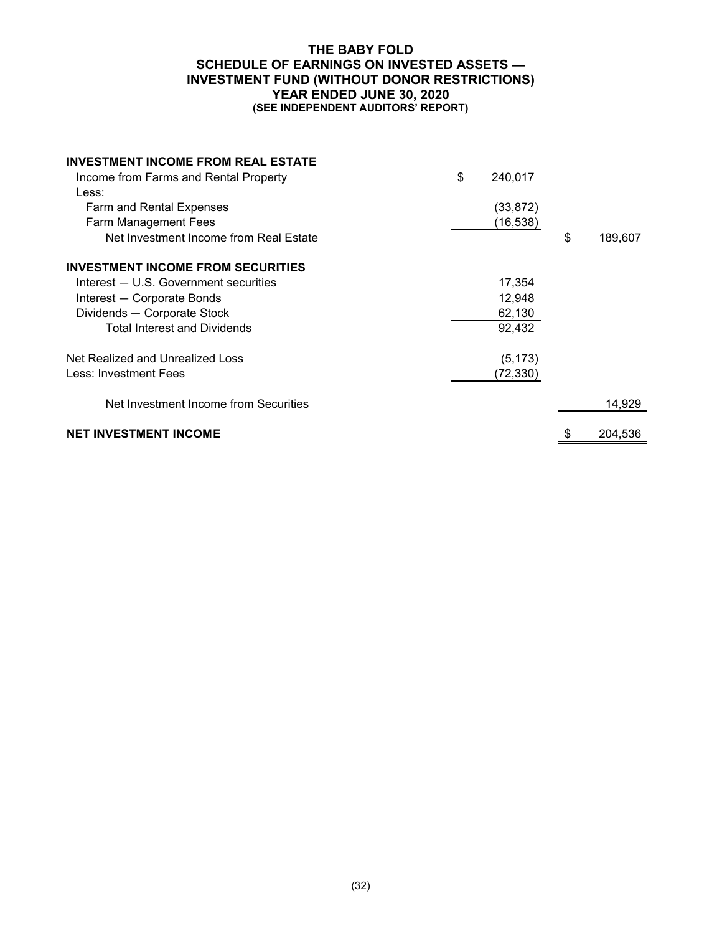#### **THE BABY FOLD SCHEDULE OF EARNINGS ON INVESTED ASSETS — INVESTMENT FUND (WITHOUT DONOR RESTRICTIONS) YEAR ENDED JUNE 30, 2020 (SEE INDEPENDENT AUDITORS' REPORT)**

| <b>INVESTMENT INCOME FROM REAL ESTATE</b><br>Income from Farms and Rental Property<br>Less:<br>Farm and Rental Expenses<br>Farm Management Fees<br>Net Investment Income from Real Estate<br><b>INVESTMENT INCOME FROM SECURITIES</b><br>Interest - U.S. Government securities<br>Interest - Corporate Bonds | \$<br>240,017<br>(33, 872)<br>(16, 538)<br>17,354<br>12,948 | \$<br>189,607 |
|--------------------------------------------------------------------------------------------------------------------------------------------------------------------------------------------------------------------------------------------------------------------------------------------------------------|-------------------------------------------------------------|---------------|
| Dividends - Corporate Stock                                                                                                                                                                                                                                                                                  | 62,130                                                      |               |
| <b>Total Interest and Dividends</b><br>Net Realized and Unrealized Loss<br>Less: Investment Fees                                                                                                                                                                                                             | 92,432<br>(5, 173)<br>(72,330)                              |               |
| Net Investment Income from Securities                                                                                                                                                                                                                                                                        |                                                             | 14,929        |
| <b>NET INVESTMENT INCOME</b>                                                                                                                                                                                                                                                                                 |                                                             | 204,536       |